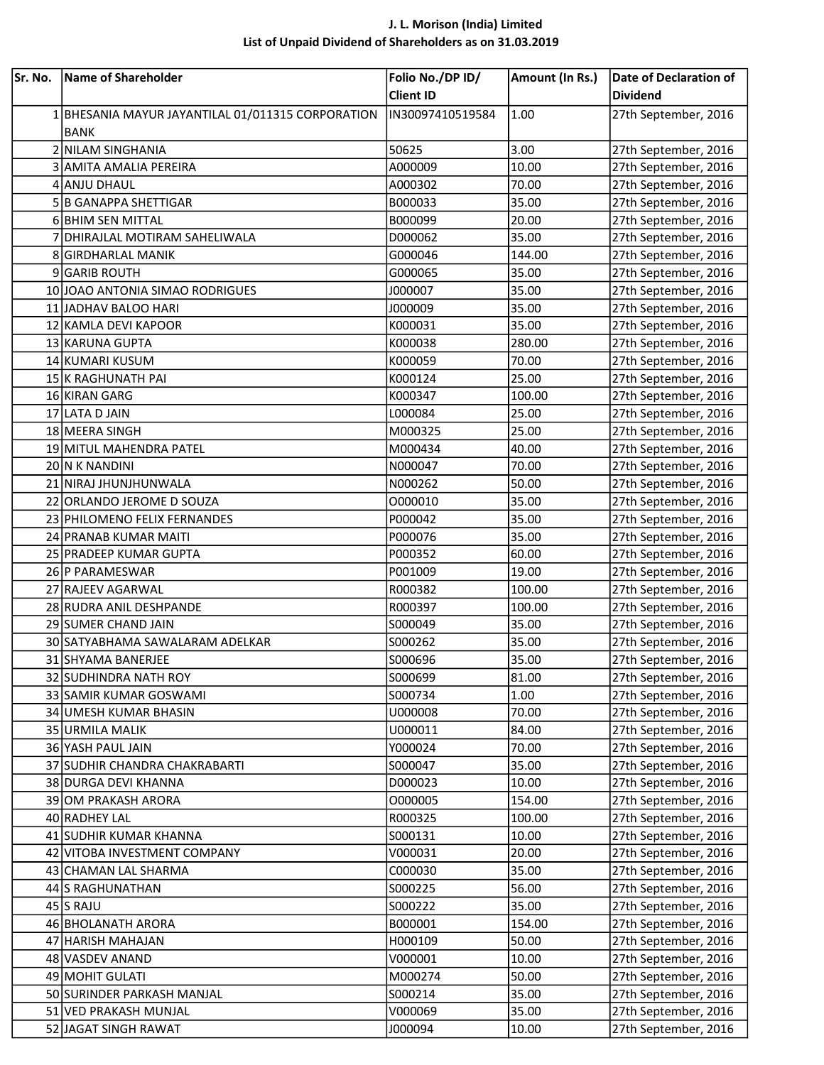## J. L. Morison (India) Limited List of Unpaid Dividend of Shareholders as on 31.03.2019

| Sr. No. | Name of Shareholder                               | Folio No./DP ID/<br><b>Client ID</b> | Amount (In Rs.) | Date of Declaration of<br><b>Dividend</b> |
|---------|---------------------------------------------------|--------------------------------------|-----------------|-------------------------------------------|
|         | 1 BHESANIA MAYUR JAYANTILAL 01/011315 CORPORATION | IN30097410519584                     | 1.00            | 27th September, 2016                      |
|         | <b>BANK</b>                                       |                                      |                 |                                           |
|         | 2 NILAM SINGHANIA                                 | 50625                                | 3.00            | 27th September, 2016                      |
|         | 3 AMITA AMALIA PEREIRA                            | A000009                              | 10.00           | 27th September, 2016                      |
|         | 4 ANJU DHAUL                                      | A000302                              | 70.00           | 27th September, 2016                      |
|         | 5 B GANAPPA SHETTIGAR                             | B000033                              | 35.00           | 27th September, 2016                      |
|         | 6 BHIM SEN MITTAL                                 | B000099                              | 20.00           | 27th September, 2016                      |
|         | 7 DHIRAJLAL MOTIRAM SAHELIWALA                    | D000062                              | 35.00           | 27th September, 2016                      |
|         | 8 GIRDHARLAL MANIK                                | G000046                              | 144.00          | 27th September, 2016                      |
|         | 9 GARIB ROUTH                                     | G000065                              | 35.00           | 27th September, 2016                      |
|         | 10 JOAO ANTONIA SIMAO RODRIGUES                   | J000007                              | 35.00           | 27th September, 2016                      |
|         | 11 JADHAV BALOO HARI                              | J000009                              | 35.00           | 27th September, 2016                      |
|         | 12 KAMLA DEVI KAPOOR                              | K000031                              | 35.00           | 27th September, 2016                      |
|         | 13 KARUNA GUPTA                                   | K000038                              | 280.00          | 27th September, 2016                      |
|         | 14 KUMARI KUSUM                                   | K000059                              | 70.00           | 27th September, 2016                      |
|         | 15 K RAGHUNATH PAI                                | K000124                              | 25.00           | 27th September, 2016                      |
|         | 16 KIRAN GARG                                     | K000347                              | 100.00          | 27th September, 2016                      |
|         | 17 LATA D JAIN                                    | L000084                              | 25.00           | 27th September, 2016                      |
|         | 18 MEERA SINGH                                    | M000325                              | 25.00           | 27th September, 2016                      |
|         | 19 MITUL MAHENDRA PATEL                           | M000434                              | 40.00           | 27th September, 2016                      |
|         | 20 N K NANDINI                                    | N000047                              | 70.00           | 27th September, 2016                      |
|         | 21 NIRAJ JHUNJHUNWALA                             | N000262                              | 50.00           | 27th September, 2016                      |
|         | 22 ORLANDO JEROME D SOUZA                         | 0000010                              | 35.00           | 27th September, 2016                      |
|         | 23 PHILOMENO FELIX FERNANDES                      | P000042                              | 35.00           | 27th September, 2016                      |
|         | 24 PRANAB KUMAR MAITI                             | P000076                              | 35.00           | 27th September, 2016                      |
|         | 25 PRADEEP KUMAR GUPTA                            | P000352                              | 60.00           | 27th September, 2016                      |
|         | 26 P PARAMESWAR                                   | P001009                              | 19.00           | 27th September, 2016                      |
|         | 27 RAJEEV AGARWAL                                 | R000382                              | 100.00          | 27th September, 2016                      |
|         | 28 RUDRA ANIL DESHPANDE                           | R000397                              | 100.00          | 27th September, 2016                      |
|         | 29 SUMER CHAND JAIN                               | S000049                              | 35.00           | 27th September, 2016                      |
|         | 30 SATYABHAMA SAWALARAM ADELKAR                   | S000262                              | 35.00           | 27th September, 2016                      |
|         | 31 SHYAMA BANERJEE                                | S000696                              | 35.00           | 27th September, 2016                      |
|         | 32 SUDHINDRA NATH ROY                             | S000699                              | 81.00           | 27th September, 2016                      |
|         | 33 SAMIR KUMAR GOSWAMI                            | S000734                              | 1.00            | 27th September, 2016                      |
|         | 34 UMESH KUMAR BHASIN                             | U000008                              | 70.00           | 27th September, 2016                      |
|         | 35 URMILA MALIK                                   | U000011                              | 84.00           | 27th September, 2016                      |
|         | 36 YASH PAUL JAIN                                 | Y000024                              | 70.00           | 27th September, 2016                      |
|         | 37 SUDHIR CHANDRA CHAKRABARTI                     | S000047                              | 35.00           | 27th September, 2016                      |
|         | 38 DURGA DEVI KHANNA                              | D000023                              | 10.00           | 27th September, 2016                      |
|         | 39 OM PRAKASH ARORA                               | 0000005                              | 154.00          | 27th September, 2016                      |
|         | 40 RADHEY LAL                                     | R000325                              | 100.00          | 27th September, 2016                      |
|         | 41 SUDHIR KUMAR KHANNA                            | S000131                              | 10.00           | 27th September, 2016                      |
|         | 42 VITOBA INVESTMENT COMPANY                      | V000031                              | 20.00           | 27th September, 2016                      |
|         | 43 CHAMAN LAL SHARMA                              | C000030                              | 35.00           | 27th September, 2016                      |
|         | 44 S RAGHUNATHAN                                  | S000225                              | 56.00           | 27th September, 2016                      |
|         | 45 S RAJU                                         | S000222                              | 35.00           | 27th September, 2016                      |
|         | 46 BHOLANATH ARORA                                | B000001                              | 154.00          | 27th September, 2016                      |
|         | 47 HARISH MAHAJAN                                 | H000109                              | 50.00           | 27th September, 2016                      |
|         | 48 VASDEV ANAND                                   | V000001                              | 10.00           | 27th September, 2016                      |
|         | 49 MOHIT GULATI                                   | M000274                              | 50.00           | 27th September, 2016                      |
|         | 50 SURINDER PARKASH MANJAL                        | S000214                              | 35.00           | 27th September, 2016                      |
|         | 51 VED PRAKASH MUNJAL                             | V000069                              | 35.00           | 27th September, 2016                      |
|         | 52 JAGAT SINGH RAWAT                              | J000094                              | 10.00           | 27th September, 2016                      |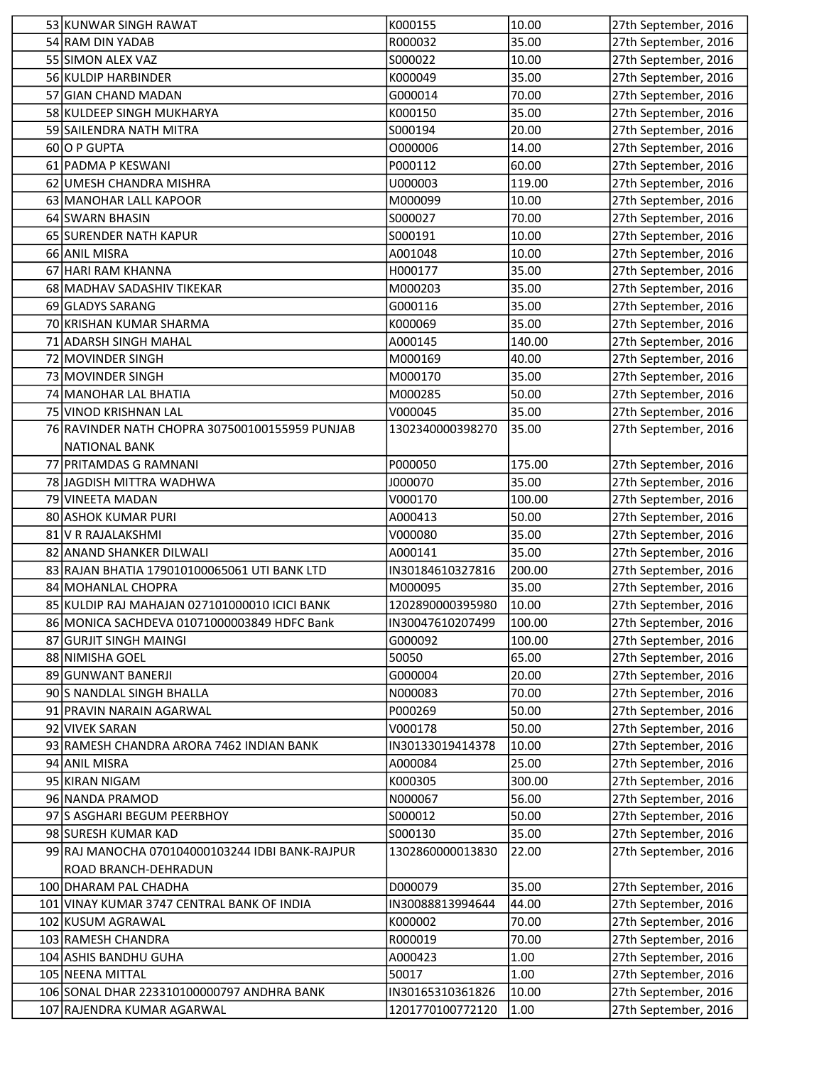| 53 KUNWAR SINGH RAWAT                                          | K000155            | 10.00           | 27th September, 2016                         |
|----------------------------------------------------------------|--------------------|-----------------|----------------------------------------------|
| 54 RAM DIN YADAB                                               | R000032            | 35.00           | 27th September, 2016                         |
| 55 SIMON ALEX VAZ                                              | S000022            | 10.00           | 27th September, 2016                         |
| 56 KULDIP HARBINDER                                            | K000049            | 35.00           | 27th September, 2016                         |
| 57 GIAN CHAND MADAN                                            | G000014            | 70.00           | 27th September, 2016                         |
| 58 KULDEEP SINGH MUKHARYA                                      | K000150            | 35.00           | 27th September, 2016                         |
| 59 SAILENDRA NATH MITRA                                        | S000194            | 20.00           | 27th September, 2016                         |
| 60 O P GUPTA                                                   | O000006            | 14.00           | 27th September, 2016                         |
| 61 PADMA P KESWANI                                             | P000112            | 60.00           | 27th September, 2016                         |
| 62 UMESH CHANDRA MISHRA                                        | U000003            | 119.00          | 27th September, 2016                         |
| 63 MANOHAR LALL KAPOOR                                         | M000099            | 10.00           | 27th September, 2016                         |
| 64 SWARN BHASIN                                                | S000027            | 70.00           | 27th September, 2016                         |
| 65 SURENDER NATH KAPUR                                         | S000191            | 10.00           | 27th September, 2016                         |
| 66 ANIL MISRA                                                  | A001048            | 10.00           | 27th September, 2016                         |
| 67 HARI RAM KHANNA                                             | H000177            | 35.00           | 27th September, 2016                         |
| 68 MADHAV SADASHIV TIKEKAR                                     | M000203            | 35.00           | 27th September, 2016                         |
| 69 GLADYS SARANG                                               | G000116            | 35.00           | 27th September, 2016                         |
| 70 KRISHAN KUMAR SHARMA                                        | K000069            | 35.00           | 27th September, 2016                         |
| 71 ADARSH SINGH MAHAL                                          | A000145            | 140.00          | 27th September, 2016                         |
| 72 MOVINDER SINGH                                              | M000169            | 40.00           | 27th September, 2016                         |
| 73 MOVINDER SINGH                                              | M000170            | 35.00           | 27th September, 2016                         |
| 74 MANOHAR LAL BHATIA                                          | M000285            | 50.00           | 27th September, 2016                         |
| 75 VINOD KRISHNAN LAL                                          | V000045            | 35.00           | 27th September, 2016                         |
| 76 RAVINDER NATH CHOPRA 307500100155959 PUNJAB                 | 1302340000398270   | 35.00           | 27th September, 2016                         |
| <b>NATIONAL BANK</b>                                           |                    |                 |                                              |
| 77 PRITAMDAS G RAMNANI                                         | P000050            | 175.00          | 27th September, 2016                         |
| 78 JAGDISH MITTRA WADHWA<br>79 VINEETA MADAN                   | J000070<br>V000170 | 35.00           | 27th September, 2016                         |
| 80 ASHOK KUMAR PURI                                            | A000413            | 100.00<br>50.00 | 27th September, 2016<br>27th September, 2016 |
| 81 V R RAJALAKSHMI                                             | V000080            | 35.00           | 27th September, 2016                         |
| 82 ANAND SHANKER DILWALI                                       | A000141            | 35.00           | 27th September, 2016                         |
| 83 RAJAN BHATIA 179010100065061 UTI BANK LTD                   | IN30184610327816   | 200.00          | 27th September, 2016                         |
| 84 MOHANLAL CHOPRA                                             | M000095            | 35.00           | 27th September, 2016                         |
| 85 KULDIP RAJ MAHAJAN 027101000010 ICICI BANK                  | 1202890000395980   | 10.00           | 27th September, 2016                         |
| 86 MONICA SACHDEVA 01071000003849 HDFC Bank                    | IN30047610207499   | 100.00          | 27th September, 2016                         |
| 87 GURJIT SINGH MAINGI                                         | G000092            | 100.00          | 27th September, 2016                         |
| 88 NIMISHA GOEL                                                | 50050              | 65.00           | 27th September, 2016                         |
| 89 GUNWANT BANERJI                                             | G000004            | 20.00           | 27th September, 2016                         |
| 90 S NANDLAL SINGH BHALLA                                      | N000083            | 70.00           | 27th September, 2016                         |
| 91 PRAVIN NARAIN AGARWAL                                       | P000269            | 50.00           | 27th September, 2016                         |
| 92 VIVEK SARAN                                                 | V000178            | 50.00           | 27th September, 2016                         |
| 93 RAMESH CHANDRA ARORA 7462 INDIAN BANK                       | IN30133019414378   | 10.00           | 27th September, 2016                         |
| 94 ANIL MISRA                                                  | A000084            | 25.00           | 27th September, 2016                         |
| 95 KIRAN NIGAM                                                 | K000305            | 300.00          | 27th September, 2016                         |
| 96 NANDA PRAMOD                                                | N000067            | 56.00           | 27th September, 2016                         |
| 97 S ASGHARI BEGUM PEERBHOY                                    | S000012            | 50.00           | 27th September, 2016                         |
| 98 SURESH KUMAR KAD                                            | S000130            | 35.00           | 27th September, 2016                         |
| 99 RAJ MANOCHA 070104000103244 IDBI BANK-RAJPUR                | 1302860000013830   | 22.00           | 27th September, 2016                         |
| ROAD BRANCH-DEHRADUN                                           |                    |                 |                                              |
| 100 DHARAM PAL CHADHA                                          | D000079            | 35.00           | 27th September, 2016                         |
| 101 VINAY KUMAR 3747 CENTRAL BANK OF INDIA                     | IN30088813994644   | 44.00           | 27th September, 2016                         |
| 102 KUSUM AGRAWAL                                              | K000002            | 70.00           | 27th September, 2016                         |
| 103 RAMESH CHANDRA                                             | R000019            | 70.00           | 27th September, 2016                         |
| 104 ASHIS BANDHU GUHA                                          | A000423<br>50017   | 1.00<br>1.00    | 27th September, 2016                         |
| 105 NEENA MITTAL<br>106 SONAL DHAR 223310100000797 ANDHRA BANK | IN30165310361826   | 10.00           | 27th September, 2016<br>27th September, 2016 |
| 107 RAJENDRA KUMAR AGARWAL                                     | 1201770100772120   | 1.00            | 27th September, 2016                         |
|                                                                |                    |                 |                                              |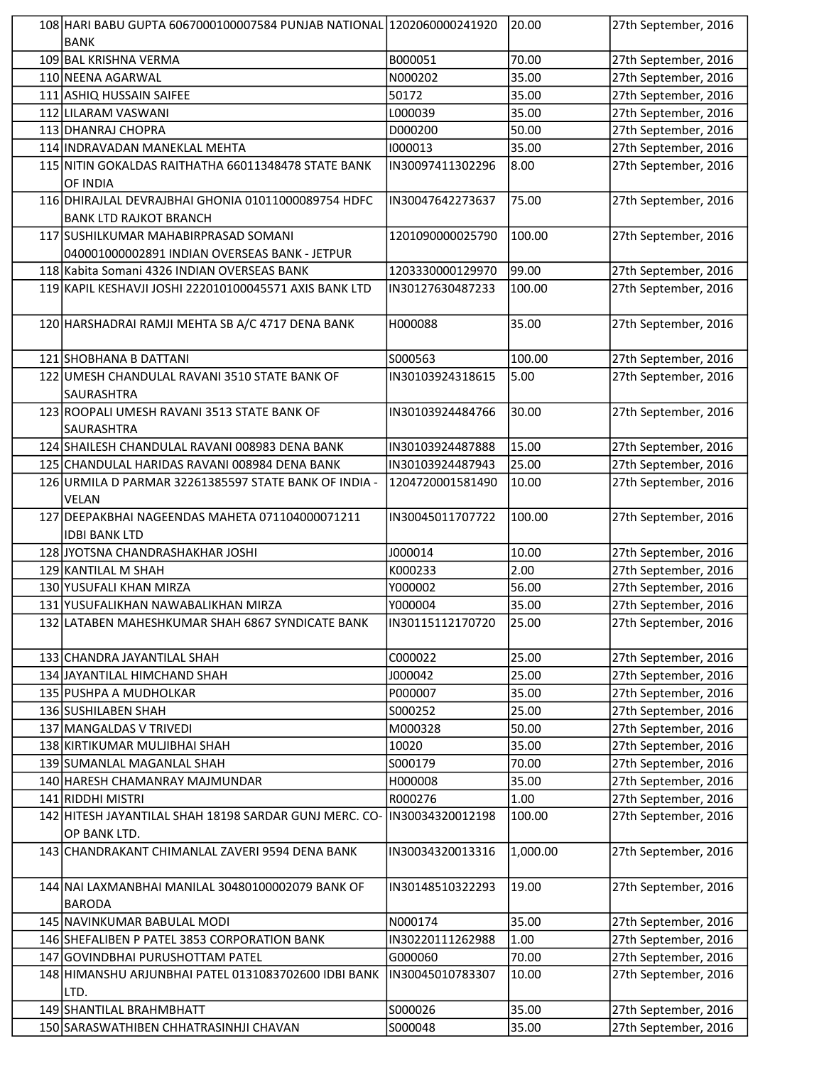| 108 HARI BABU GUPTA 6067000100007584 PUNJAB NATIONAL 1202060000241920 |                  | 20.00    | 27th September, 2016 |
|-----------------------------------------------------------------------|------------------|----------|----------------------|
| <b>BANK</b>                                                           |                  |          |                      |
| 109 BAL KRISHNA VERMA                                                 | B000051          | 70.00    | 27th September, 2016 |
| 110 NEENA AGARWAL                                                     | N000202          | 35.00    | 27th September, 2016 |
| 111 ASHIQ HUSSAIN SAIFEE                                              | 50172            | 35.00    | 27th September, 2016 |
| 112 LILARAM VASWANI                                                   | L000039          | 35.00    | 27th September, 2016 |
| 113 DHANRAJ CHOPRA                                                    | D000200          | 50.00    | 27th September, 2016 |
| 114 INDRAVADAN MANEKLAL MEHTA                                         | 1000013          | 35.00    | 27th September, 2016 |
| 115 NITIN GOKALDAS RAITHATHA 66011348478 STATE BANK                   | IN30097411302296 | 8.00     | 27th September, 2016 |
| OF INDIA                                                              |                  |          |                      |
| 116 DHIRAJLAL DEVRAJBHAI GHONIA 01011000089754 HDFC                   | IN30047642273637 | 75.00    | 27th September, 2016 |
| <b>BANK LTD RAJKOT BRANCH</b>                                         |                  |          |                      |
| 117 SUSHILKUMAR MAHABIRPRASAD SOMANI                                  | 1201090000025790 | 100.00   | 27th September, 2016 |
| 040001000002891 INDIAN OVERSEAS BANK - JETPUR                         |                  |          |                      |
| 118 Kabita Somani 4326 INDIAN OVERSEAS BANK                           | 1203330000129970 | 99.00    | 27th September, 2016 |
| 119 KAPIL KESHAVJI JOSHI 222010100045571 AXIS BANK LTD                | IN30127630487233 | 100.00   | 27th September, 2016 |
|                                                                       |                  |          |                      |
| 120 HARSHADRAI RAMJI MEHTA SB A/C 4717 DENA BANK                      | H000088          | 35.00    | 27th September, 2016 |
|                                                                       |                  |          |                      |
| 121 SHOBHANA B DATTANI                                                | S000563          | 100.00   | 27th September, 2016 |
| 122 UMESH CHANDULAL RAVANI 3510 STATE BANK OF                         | IN30103924318615 | 5.00     | 27th September, 2016 |
| <b>SAURASHTRA</b>                                                     |                  |          |                      |
| 123 ROOPALI UMESH RAVANI 3513 STATE BANK OF                           | IN30103924484766 | 30.00    | 27th September, 2016 |
|                                                                       |                  |          |                      |
| SAURASHTRA                                                            |                  |          |                      |
| 124 SHAILESH CHANDULAL RAVANI 008983 DENA BANK                        | IN30103924487888 | 15.00    | 27th September, 2016 |
| 125 CHANDULAL HARIDAS RAVANI 008984 DENA BANK                         | IN30103924487943 | 25.00    | 27th September, 2016 |
| 126 URMILA D PARMAR 32261385597 STATE BANK OF INDIA -                 | 1204720001581490 | 10.00    | 27th September, 2016 |
| VELAN                                                                 |                  |          |                      |
| 127 DEEPAKBHAI NAGEENDAS MAHETA 071104000071211                       | IN30045011707722 | 100.00   | 27th September, 2016 |
| <b>IDBI BANK LTD</b>                                                  |                  |          |                      |
| 128 JYOTSNA CHANDRASHAKHAR JOSHI                                      | J000014          | 10.00    | 27th September, 2016 |
| 129 KANTILAL M SHAH                                                   | K000233          | 2.00     | 27th September, 2016 |
| 130 YUSUFALI KHAN MIRZA                                               | Y000002          | 56.00    | 27th September, 2016 |
| 131 YUSUFALIKHAN NAWABALIKHAN MIRZA                                   | Y000004          | 35.00    | 27th September, 2016 |
| 132 LATABEN MAHESHKUMAR SHAH 6867 SYNDICATE BANK                      | IN30115112170720 | 25.00    | 27th September, 2016 |
|                                                                       |                  |          |                      |
| 133 CHANDRA JAYANTILAL SHAH                                           | C000022          | 25.00    | 27th September, 2016 |
| 134 JAYANTILAL HIMCHAND SHAH                                          | J000042          | 25.00    | 27th September, 2016 |
| 135 PUSHPA A MUDHOLKAR                                                | P000007          | 35.00    | 27th September, 2016 |
| 136 SUSHILABEN SHAH                                                   | S000252          | 25.00    | 27th September, 2016 |
| 137 MANGALDAS V TRIVEDI                                               | M000328          | 50.00    | 27th September, 2016 |
| 138 KIRTIKUMAR MULJIBHAI SHAH                                         | 10020            | 35.00    | 27th September, 2016 |
| 139 SUMANLAL MAGANLAL SHAH                                            | S000179          | 70.00    | 27th September, 2016 |
| 140 HARESH CHAMANRAY MAJMUNDAR                                        | H000008          | 35.00    | 27th September, 2016 |
| 141 RIDDHI MISTRI                                                     | R000276          | 1.00     | 27th September, 2016 |
| 142 HITESH JAYANTILAL SHAH 18198 SARDAR GUNJ MERC. CO-                | IN30034320012198 | 100.00   | 27th September, 2016 |
| OP BANK LTD.                                                          |                  |          |                      |
| 143 CHANDRAKANT CHIMANLAL ZAVERI 9594 DENA BANK                       | IN30034320013316 | 1,000.00 | 27th September, 2016 |
|                                                                       |                  |          |                      |
| 144 NAI LAXMANBHAI MANILAL 30480100002079 BANK OF                     | IN30148510322293 | 19.00    | 27th September, 2016 |
| <b>BARODA</b>                                                         |                  |          |                      |
| 145 NAVINKUMAR BABULAL MODI                                           | N000174          | 35.00    | 27th September, 2016 |
| 146 SHEFALIBEN P PATEL 3853 CORPORATION BANK                          | IN30220111262988 | 1.00     | 27th September, 2016 |
| 147 GOVINDBHAI PURUSHOTTAM PATEL                                      | G000060          | 70.00    | 27th September, 2016 |
| 148 HIMANSHU ARJUNBHAI PATEL 0131083702600 IDBI BANK                  | IN30045010783307 | 10.00    | 27th September, 2016 |
| LTD.                                                                  |                  |          |                      |
| 149 SHANTILAL BRAHMBHATT                                              | S000026          | 35.00    | 27th September, 2016 |
| 150 SARASWATHIBEN CHHATRASINHJI CHAVAN                                | S000048          | 35.00    | 27th September, 2016 |
|                                                                       |                  |          |                      |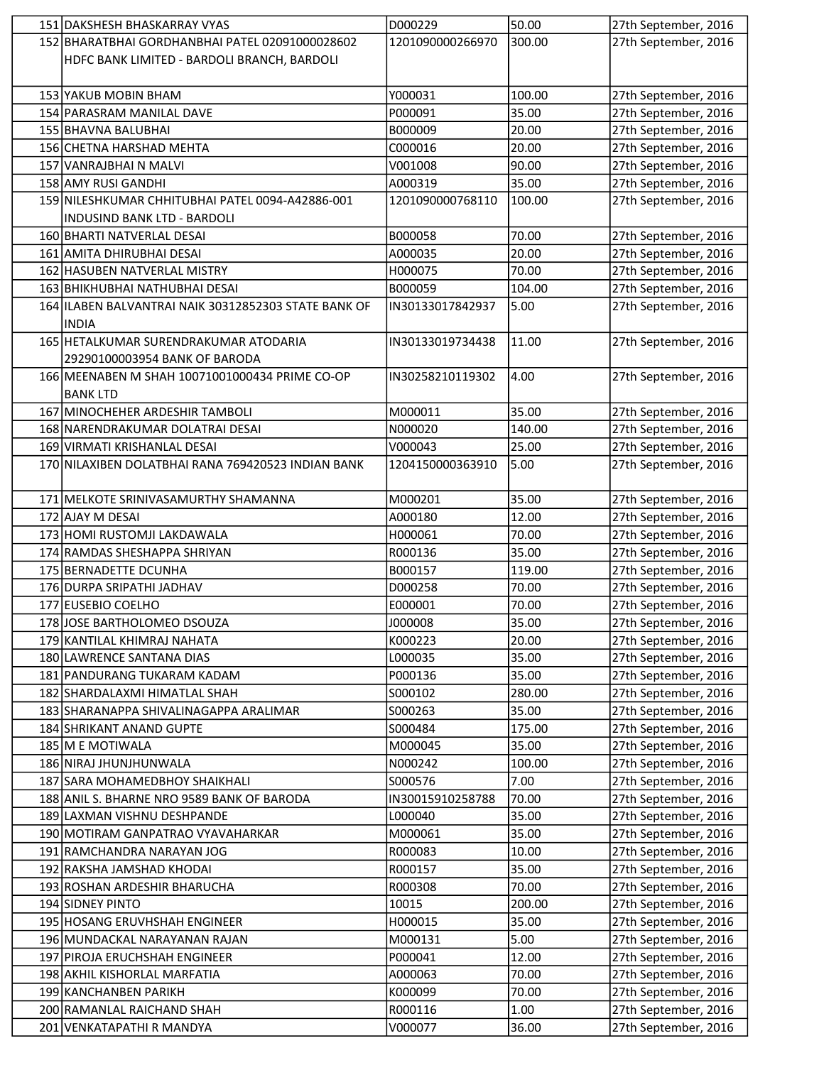| 151 DAKSHESH BHASKARRAY VYAS                         | D000229          | 50.00  | 27th September, 2016 |
|------------------------------------------------------|------------------|--------|----------------------|
| 152 BHARATBHAI GORDHANBHAI PATEL 02091000028602      | 1201090000266970 | 300.00 | 27th September, 2016 |
| HDFC BANK LIMITED - BARDOLI BRANCH, BARDOLI          |                  |        |                      |
|                                                      |                  |        |                      |
| 153 YAKUB MOBIN BHAM                                 | Y000031          | 100.00 | 27th September, 2016 |
| 154 PARASRAM MANILAL DAVE                            | P000091          | 35.00  | 27th September, 2016 |
| 155 BHAVNA BALUBHAI                                  | B000009          | 20.00  | 27th September, 2016 |
| 156 CHETNA HARSHAD MEHTA                             | C000016          | 20.00  | 27th September, 2016 |
| 157 VANRAJBHAI N MALVI                               | V001008          | 90.00  | 27th September, 2016 |
| 158 AMY RUSI GANDHI                                  | A000319          | 35.00  | 27th September, 2016 |
| 159 NILESHKUMAR CHHITUBHAI PATEL 0094-A42886-001     | 1201090000768110 | 100.00 | 27th September, 2016 |
| INDUSIND BANK LTD - BARDOLI                          |                  |        |                      |
| 160 BHARTI NATVERLAL DESAI                           | B000058          | 70.00  | 27th September, 2016 |
| 161 AMITA DHIRUBHAI DESAI                            | A000035          | 20.00  | 27th September, 2016 |
| 162 HASUBEN NATVERLAL MISTRY                         | H000075          | 70.00  | 27th September, 2016 |
| 163 BHIKHUBHAI NATHUBHAI DESAI                       |                  |        | 27th September, 2016 |
|                                                      | B000059          | 104.00 |                      |
| 164 ILABEN BALVANTRAI NAIK 30312852303 STATE BANK OF | IN30133017842937 | 5.00   | 27th September, 2016 |
| <b>INDIA</b>                                         |                  |        |                      |
| 165 HETALKUMAR SURENDRAKUMAR ATODARIA                | IN30133019734438 | 11.00  | 27th September, 2016 |
| 29290100003954 BANK OF BARODA                        |                  |        |                      |
| 166 MEENABEN M SHAH 10071001000434 PRIME CO-OP       | IN30258210119302 | 4.00   | 27th September, 2016 |
| <b>BANK LTD</b>                                      |                  |        |                      |
| 167 MINOCHEHER ARDESHIR TAMBOLI                      | M000011          | 35.00  | 27th September, 2016 |
| 168 NARENDRAKUMAR DOLATRAI DESAI                     | N000020          | 140.00 | 27th September, 2016 |
| 169 VIRMATI KRISHANLAL DESAI                         | V000043          | 25.00  | 27th September, 2016 |
| 170 NILAXIBEN DOLATBHAI RANA 769420523 INDIAN BANK   | 1204150000363910 | 5.00   | 27th September, 2016 |
|                                                      |                  |        |                      |
| 171 MELKOTE SRINIVASAMURTHY SHAMANNA                 | M000201          | 35.00  | 27th September, 2016 |
| 172 AJAY M DESAI                                     | A000180          | 12.00  | 27th September, 2016 |
| 173 HOMI RUSTOMJI LAKDAWALA                          | H000061          | 70.00  | 27th September, 2016 |
| 174 RAMDAS SHESHAPPA SHRIYAN                         | R000136          | 35.00  | 27th September, 2016 |
| 175 BERNADETTE DCUNHA                                | B000157          | 119.00 | 27th September, 2016 |
| 176 DURPA SRIPATHI JADHAV                            | D000258          | 70.00  | 27th September, 2016 |
| 177 EUSEBIO COELHO                                   | E000001          | 70.00  | 27th September, 2016 |
| 178 JOSE BARTHOLOMEO DSOUZA                          | J000008          | 35.00  | 27th September, 2016 |
| 179 KANTILAL KHIMRAJ NAHATA                          | K000223          | 20.00  | 27th September, 2016 |
| 180 LAWRENCE SANTANA DIAS                            | L000035          | 35.00  | 27th September, 2016 |
| 181 PANDURANG TUKARAM KADAM                          | P000136          | 35.00  | 27th September, 2016 |
| 182 SHARDALAXMI HIMATLAL SHAH                        | S000102          | 280.00 | 27th September, 2016 |
| 183 SHARANAPPA SHIVALINAGAPPA ARALIMAR               | S000263          | 35.00  | 27th September, 2016 |
| 184 SHRIKANT ANAND GUPTE                             | S000484          | 175.00 | 27th September, 2016 |
| 185 M E MOTIWALA                                     | M000045          | 35.00  | 27th September, 2016 |
| 186 NIRAJ JHUNJHUNWALA                               | N000242          | 100.00 | 27th September, 2016 |
| 187 SARA MOHAMEDBHOY SHAIKHALI                       | S000576          | 7.00   | 27th September, 2016 |
| 188 ANIL S. BHARNE NRO 9589 BANK OF BARODA           | IN30015910258788 | 70.00  | 27th September, 2016 |
| 189 LAXMAN VISHNU DESHPANDE                          | L000040          | 35.00  | 27th September, 2016 |
| 190 MOTIRAM GANPATRAO VYAVAHARKAR                    | M000061          | 35.00  | 27th September, 2016 |
|                                                      |                  |        |                      |
| 191 RAMCHANDRA NARAYAN JOG                           | R000083          | 10.00  | 27th September, 2016 |
| 192 RAKSHA JAMSHAD KHODAI                            | R000157          | 35.00  | 27th September, 2016 |
| 193 ROSHAN ARDESHIR BHARUCHA                         | R000308          | 70.00  | 27th September, 2016 |
| 194 SIDNEY PINTO                                     | 10015            | 200.00 | 27th September, 2016 |
| 195 HOSANG ERUVHSHAH ENGINEER                        | H000015          | 35.00  | 27th September, 2016 |
| 196 MUNDACKAL NARAYANAN RAJAN                        | M000131          | 5.00   | 27th September, 2016 |
| 197 PIROJA ERUCHSHAH ENGINEER                        | P000041          | 12.00  | 27th September, 2016 |
| 198 AKHIL KISHORLAL MARFATIA                         | A000063          | 70.00  | 27th September, 2016 |
| 199 KANCHANBEN PARIKH                                | K000099          | 70.00  | 27th September, 2016 |
| 200 RAMANLAL RAICHAND SHAH                           | R000116          | 1.00   | 27th September, 2016 |
| 201 VENKATAPATHI R MANDYA                            | V000077          | 36.00  | 27th September, 2016 |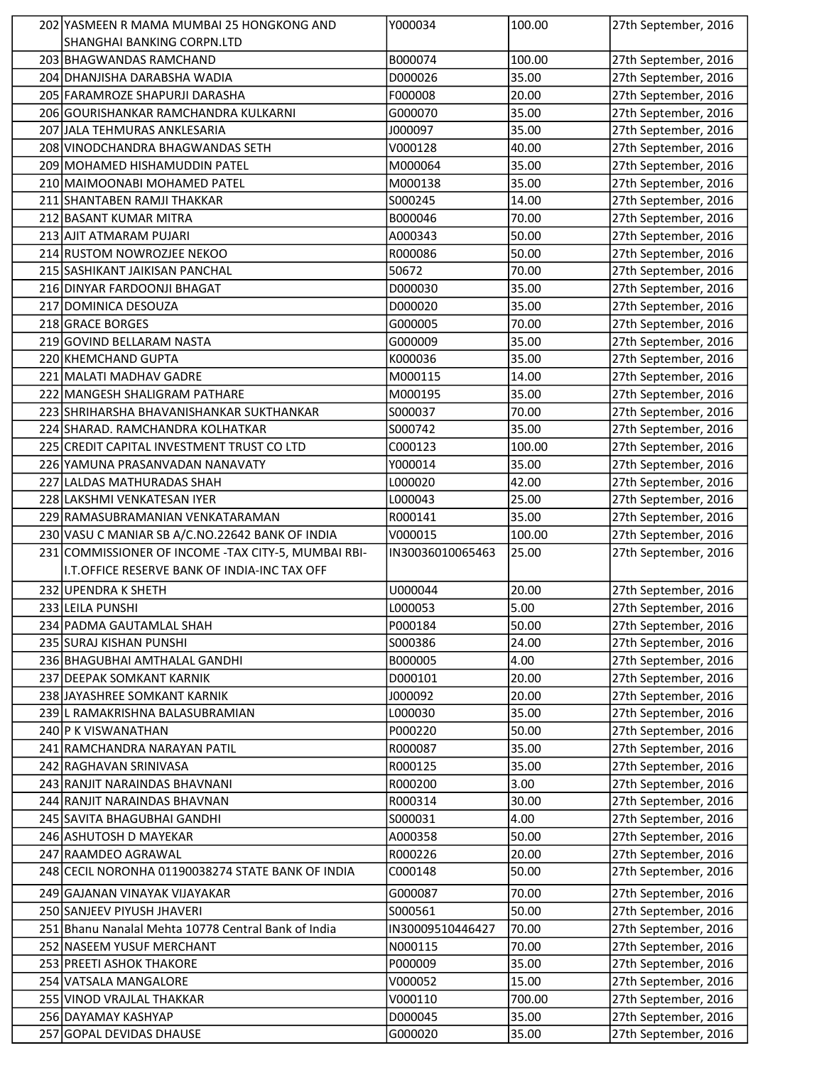| 202 YASMEEN R MAMA MUMBAI 25 HONGKONG AND            | Y000034            | 100.00         | 27th September, 2016                         |
|------------------------------------------------------|--------------------|----------------|----------------------------------------------|
| SHANGHAI BANKING CORPN.LTD                           |                    |                |                                              |
| 203 BHAGWANDAS RAMCHAND                              | B000074            | 100.00         | 27th September, 2016                         |
| 204   DHANJISHA DARABSHA WADIA                       | D000026            | 35.00          | 27th September, 2016                         |
| 205 FARAMROZE SHAPURJI DARASHA                       | F000008            | 20.00          | 27th September, 2016                         |
| 206 GOURISHANKAR RAMCHANDRA KULKARNI                 | G000070            | 35.00          | 27th September, 2016                         |
| 207 JJALA TEHMURAS ANKLESARIA                        | J000097            | 35.00          | 27th September, 2016                         |
| 208 VINODCHANDRA BHAGWANDAS SETH                     | V000128            | 40.00          | 27th September, 2016                         |
| 209 MOHAMED HISHAMUDDIN PATEL                        | M000064            | 35.00          | 27th September, 2016                         |
| 210 MAIMOONABI MOHAMED PATEL                         | M000138            | 35.00          | 27th September, 2016                         |
| 211 SHANTABEN RAMJI THAKKAR                          | S000245            | 14.00          | 27th September, 2016                         |
| 212 BASANT KUMAR MITRA                               | B000046            | 70.00          | 27th September, 2016                         |
| 213 AJIT ATMARAM PUJARI                              | A000343            | 50.00          | 27th September, 2016                         |
| 214 RUSTOM NOWROZJEE NEKOO                           | R000086            | 50.00          | 27th September, 2016                         |
| 215 SASHIKANT JAIKISAN PANCHAL                       | 50672              | 70.00          | 27th September, 2016                         |
| 216 DINYAR FARDOONJI BHAGAT                          | D000030            | 35.00          | 27th September, 2016                         |
|                                                      |                    |                |                                              |
| 217 DOMINICA DESOUZA                                 | D000020            | 35.00          | 27th September, 2016                         |
| 218 GRACE BORGES                                     | G000005            | 70.00          | 27th September, 2016                         |
| 219 GOVIND BELLARAM NASTA                            | G000009            | 35.00          | 27th September, 2016                         |
| 220 KHEMCHAND GUPTA                                  | K000036            | 35.00          | 27th September, 2016                         |
| 221 MALATI MADHAV GADRE                              | M000115            | 14.00          | 27th September, 2016                         |
| 222 MANGESH SHALIGRAM PATHARE                        | M000195            | 35.00          | 27th September, 2016                         |
| 223 SHRIHARSHA BHAVANISHANKAR SUKTHANKAR             | S000037            | 70.00          | 27th September, 2016                         |
| 224 SHARAD. RAMCHANDRA KOLHATKAR                     | S000742            | 35.00          | 27th September, 2016                         |
| 225 CREDIT CAPITAL INVESTMENT TRUST CO LTD           | C000123            | 100.00         | 27th September, 2016                         |
| 226 YAMUNA PRASANVADAN NANAVATY                      | Y000014            | 35.00          | 27th September, 2016                         |
| 227 LALDAS MATHURADAS SHAH                           | L000020            | 42.00          | 27th September, 2016                         |
| 228 LAKSHMI VENKATESAN IYER                          | L000043            | 25.00          | 27th September, 2016                         |
| 229 RAMASUBRAMANIAN VENKATARAMAN                     | R000141            | 35.00          | 27th September, 2016                         |
| 230 VASU C MANIAR SB A/C.NO.22642 BANK OF INDIA      | V000015            | 100.00         | 27th September, 2016                         |
| 231 COMMISSIONER OF INCOME - TAX CITY-5, MUMBAI RBI- | IN30036010065463   | 25.00          | 27th September, 2016                         |
| I.T.OFFICE RESERVE BANK OF INDIA-INC TAX OFF         |                    |                |                                              |
| 232 UPENDRA K SHETH                                  | U000044            | 20.00          | 27th September, 2016                         |
| 233 LEILA PUNSHI                                     | L000053            | 5.00           | 27th September, 2016                         |
|                                                      |                    |                |                                              |
| 234 PADMA GAUTAMLAL SHAH                             | P000184            | 50.00          | 27th September, 2016                         |
| 235 SURAJ KISHAN PUNSHI                              | S000386            | 24.00          | 27th September, 2016                         |
| 236 BHAGUBHAI AMTHALAL GANDHI                        | B000005            | 4.00           | 27th September, 2016                         |
| 237 DEEPAK SOMKANT KARNIK                            | D000101            | 20.00          | 27th September, 2016                         |
| 238 JAYASHREE SOMKANT KARNIK                         | J000092            | 20.00          | 27th September, 2016                         |
| 239 L RAMAKRISHNA BALASUBRAMIAN                      | L000030            | 35.00          | 27th September, 2016                         |
| 240 P K VISWANATHAN                                  | P000220            | 50.00          | 27th September, 2016                         |
| 241 RAMCHANDRA NARAYAN PATIL                         | R000087            | 35.00          | 27th September, 2016                         |
| 242 RAGHAVAN SRINIVASA                               | R000125            | 35.00          | 27th September, 2016                         |
| 243 RANJIT NARAINDAS BHAVNANI                        | R000200            | 3.00           | 27th September, 2016                         |
| 244 RANJIT NARAINDAS BHAVNAN                         | R000314            | 30.00          | 27th September, 2016                         |
| 245 SAVITA BHAGUBHAI GANDHI                          | S000031            | 4.00           | 27th September, 2016                         |
| 246 ASHUTOSH D MAYEKAR                               | A000358            | 50.00          | 27th September, 2016                         |
| 247 RAAMDEO AGRAWAL                                  | R000226            | 20.00          | 27th September, 2016                         |
| 248 CECIL NORONHA 01190038274 STATE BANK OF INDIA    | C000148            | 50.00          | 27th September, 2016                         |
| 249 GAJANAN VINAYAK VIJAYAKAR                        | G000087            | 70.00          | 27th September, 2016                         |
|                                                      |                    | 50.00          |                                              |
| 250 SANJEEV PIYUSH JHAVERI                           | S000561            |                | 27th September, 2016                         |
| 251 Bhanu Nanalal Mehta 10778 Central Bank of India  | IN30009510446427   | 70.00          | 27th September, 2016                         |
| 252 NASEEM YUSUF MERCHANT                            | N000115            | 70.00          | 27th September, 2016                         |
| 253 PREETI ASHOK THAKORE                             | P000009            | 35.00          | 27th September, 2016                         |
| 254 VATSALA MANGALORE                                | V000052            | 15.00          | 27th September, 2016                         |
| 255 VINOD VRAJLAL THAKKAR                            | V000110            | 700.00         | 27th September, 2016                         |
|                                                      |                    |                |                                              |
| 256 DAYAMAY KASHYAP<br>257 GOPAL DEVIDAS DHAUSE      | D000045<br>G000020 | 35.00<br>35.00 | 27th September, 2016<br>27th September, 2016 |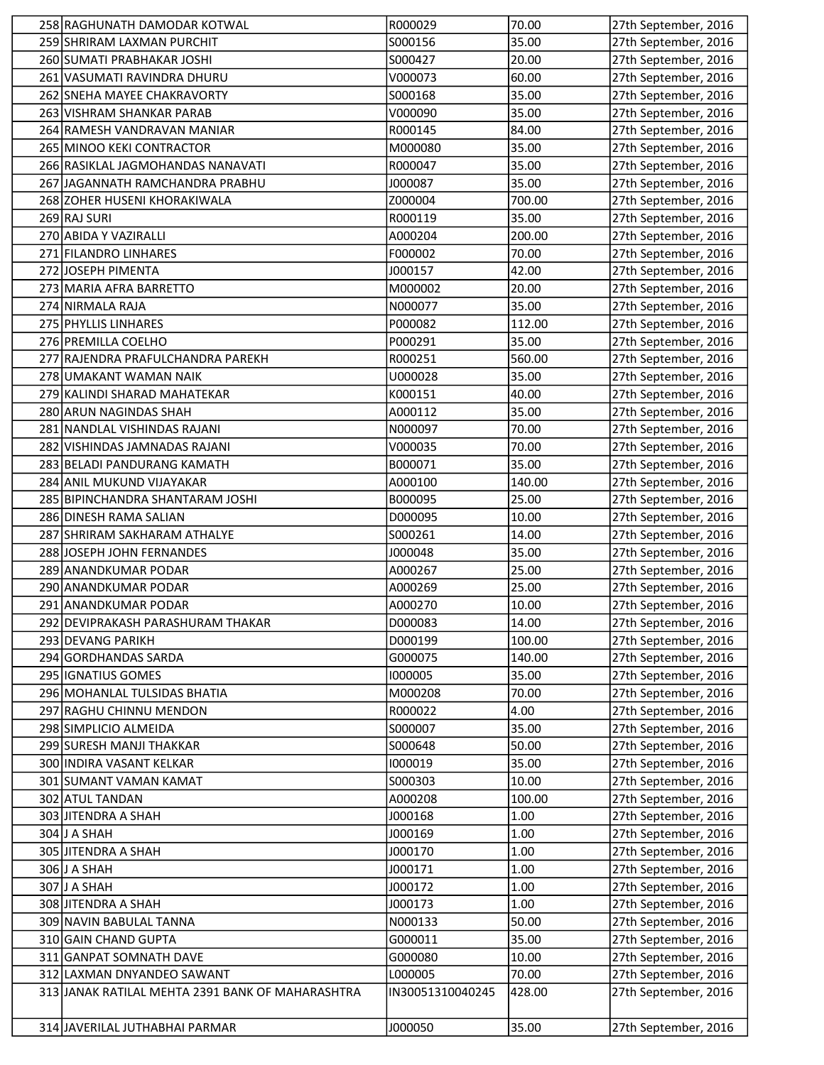| 258 RAGHUNATH DAMODAR KOTWAL                     | R000029          | 70.00  | 27th September, 2016 |
|--------------------------------------------------|------------------|--------|----------------------|
| 259 SHRIRAM LAXMAN PURCHIT                       | S000156          | 35.00  | 27th September, 2016 |
| 260 SUMATI PRABHAKAR JOSHI                       | S000427          | 20.00  | 27th September, 2016 |
| 261 VASUMATI RAVINDRA DHURU                      | V000073          | 60.00  | 27th September, 2016 |
| 262 SNEHA MAYEE CHAKRAVORTY                      | S000168          | 35.00  | 27th September, 2016 |
| 263 VISHRAM SHANKAR PARAB                        | V000090          | 35.00  | 27th September, 2016 |
| 264 RAMESH VANDRAVAN MANIAR                      | R000145          | 84.00  | 27th September, 2016 |
| 265 MINOO KEKI CONTRACTOR                        | M000080          | 35.00  | 27th September, 2016 |
| 266 RASIKLAL JAGMOHANDAS NANAVATI                | R000047          | 35.00  | 27th September, 2016 |
| 267 JAGANNATH RAMCHANDRA PRABHU                  | J000087          | 35.00  | 27th September, 2016 |
| 268 ZOHER HUSENI KHORAKIWALA                     | Z000004          | 700.00 | 27th September, 2016 |
| 269 RAJ SURI                                     | R000119          | 35.00  | 27th September, 2016 |
| 270 ABIDA Y VAZIRALLI                            | A000204          | 200.00 | 27th September, 2016 |
| 271 FILANDRO LINHARES                            | F000002          | 70.00  | 27th September, 2016 |
| 272 JOSEPH PIMENTA                               | J000157          | 42.00  | 27th September, 2016 |
| 273 MARIA AFRA BARRETTO                          | M000002          | 20.00  | 27th September, 2016 |
| 274 NIRMALA RAJA                                 | N000077          | 35.00  | 27th September, 2016 |
| 275 PHYLLIS LINHARES                             | P000082          | 112.00 | 27th September, 2016 |
| 276 PREMILLA COELHO                              | P000291          | 35.00  | 27th September, 2016 |
| 277 RAJENDRA PRAFULCHANDRA PAREKH                | R000251          | 560.00 | 27th September, 2016 |
| 278 UMAKANT WAMAN NAIK                           | U000028          | 35.00  | 27th September, 2016 |
| 279 KALINDI SHARAD MAHATEKAR                     | K000151          | 40.00  | 27th September, 2016 |
| 280 ARUN NAGINDAS SHAH                           | A000112          | 35.00  | 27th September, 2016 |
| 281 NANDLAL VISHINDAS RAJANI                     | N000097          | 70.00  | 27th September, 2016 |
| 282 VISHINDAS JAMNADAS RAJANI                    | V000035          | 70.00  | 27th September, 2016 |
| 283 BELADI PANDURANG KAMATH                      | B000071          | 35.00  | 27th September, 2016 |
| 284 ANIL MUKUND VIJAYAKAR                        | A000100          | 140.00 | 27th September, 2016 |
| 285 BIPINCHANDRA SHANTARAM JOSHI                 | B000095          | 25.00  | 27th September, 2016 |
| 286 DINESH RAMA SALIAN                           | D000095          | 10.00  | 27th September, 2016 |
| 287 SHRIRAM SAKHARAM ATHALYE                     | S000261          | 14.00  | 27th September, 2016 |
| 288 JOSEPH JOHN FERNANDES                        | J000048          | 35.00  | 27th September, 2016 |
| 289 ANANDKUMAR PODAR                             | A000267          | 25.00  | 27th September, 2016 |
| 290 ANANDKUMAR PODAR                             | A000269          | 25.00  | 27th September, 2016 |
| 291 ANANDKUMAR PODAR                             | A000270          | 10.00  | 27th September, 2016 |
| 292 DEVIPRAKASH PARASHURAM THAKAR                | D000083          | 14.00  | 27th September, 2016 |
| 293 DEVANG PARIKH                                | D000199          | 100.00 | 27th September, 2016 |
| 294 GORDHANDAS SARDA                             | G000075          | 140.00 | 27th September, 2016 |
| 295 IGNATIUS GOMES                               | 1000005          | 35.00  | 27th September, 2016 |
| 296 MOHANLAL TULSIDAS BHATIA                     | M000208          | 70.00  | 27th September, 2016 |
| 297 RAGHU CHINNU MENDON                          | R000022          | 4.00   | 27th September, 2016 |
| 298 SIMPLICIO ALMEIDA                            | S000007          | 35.00  | 27th September, 2016 |
| 299 SURESH MANJI THAKKAR                         | S000648          | 50.00  | 27th September, 2016 |
| 300 INDIRA VASANT KELKAR                         | 1000019          | 35.00  | 27th September, 2016 |
| 301 SUMANT VAMAN KAMAT                           | S000303          | 10.00  | 27th September, 2016 |
| 302 ATUL TANDAN                                  | A000208          | 100.00 | 27th September, 2016 |
| 303 JITENDRA A SHAH                              | J000168          | 1.00   | 27th September, 2016 |
| 304 J A SHAH                                     | J000169          | 1.00   | 27th September, 2016 |
| 305 JITENDRA A SHAH                              | J000170          | 1.00   | 27th September, 2016 |
| 306 J A SHAH                                     | J000171          | 1.00   | 27th September, 2016 |
| 307 J A SHAH                                     | J000172          | 1.00   | 27th September, 2016 |
| 308 JITENDRA A SHAH                              | J000173          | 1.00   | 27th September, 2016 |
| 309 NAVIN BABULAL TANNA                          | N000133          | 50.00  | 27th September, 2016 |
| 310 GAIN CHAND GUPTA                             | G000011          | 35.00  | 27th September, 2016 |
| 311 GANPAT SOMNATH DAVE                          | G000080          | 10.00  | 27th September, 2016 |
| 312 LAXMAN DNYANDEO SAWANT                       | L000005          | 70.00  | 27th September, 2016 |
| 313 JANAK RATILAL MEHTA 2391 BANK OF MAHARASHTRA | IN30051310040245 | 428.00 | 27th September, 2016 |
|                                                  |                  |        |                      |
| 314 JAVERILAL JUTHABHAI PARMAR                   | J000050          | 35.00  | 27th September, 2016 |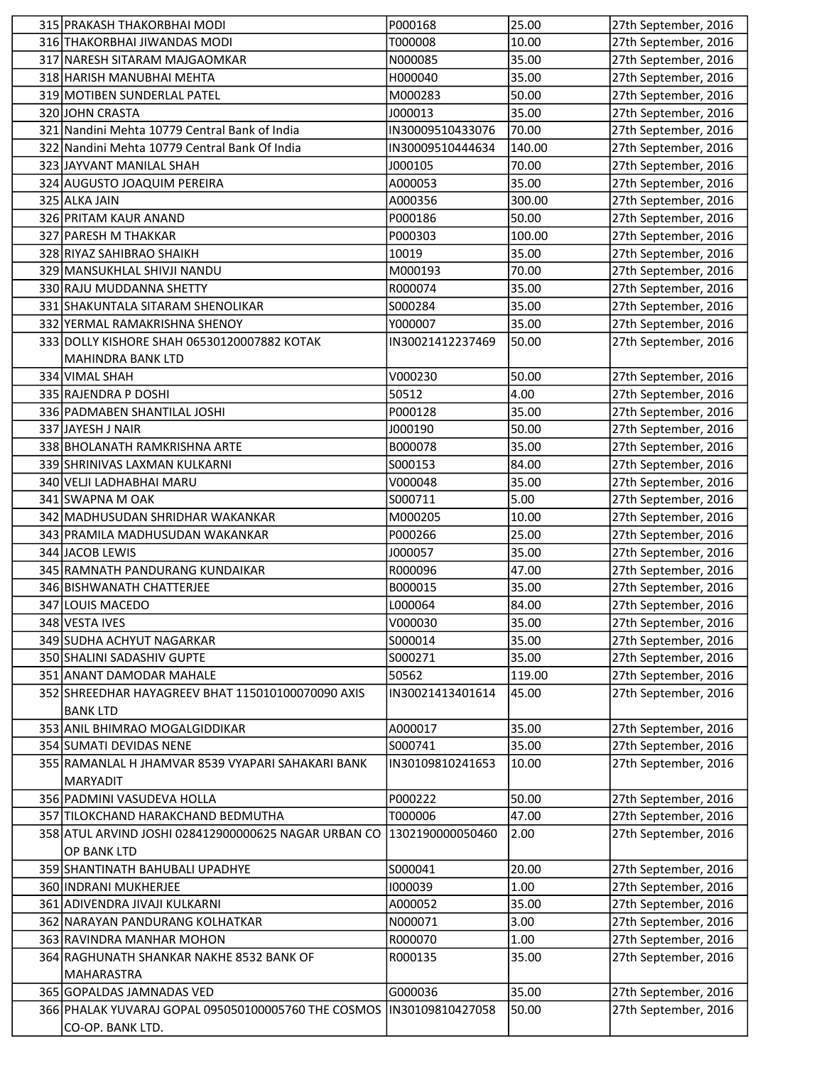| 315 PRAKASH THAKORBHAI MODI                          | P000168            | 25.00          | 27th September, 2016                         |
|------------------------------------------------------|--------------------|----------------|----------------------------------------------|
| 316 THAKORBHAI JIWANDAS MODI                         | T000008            | 10.00          | 27th September, 2016                         |
| 317 NARESH SITARAM MAJGAOMKAR                        | N000085            | 35.00          | 27th September, 2016                         |
| 318 HARISH MANUBHAI MEHTA                            | H000040            | 35.00          | 27th September, 2016                         |
| 319 MOTIBEN SUNDERLAL PATEL                          | M000283            | 50.00          | 27th September, 2016                         |
| 320 JOHN CRASTA                                      | J000013            | 35.00          | 27th September, 2016                         |
| 321 Nandini Mehta 10779 Central Bank of India        | IN30009510433076   | 70.00          | 27th September, 2016                         |
| 322 Nandini Mehta 10779 Central Bank Of India        | IN30009510444634   | 140.00         | 27th September, 2016                         |
| 323 JAYVANT MANILAL SHAH                             | J000105            | 70.00          | 27th September, 2016                         |
| 324 AUGUSTO JOAQUIM PEREIRA                          | A000053            | 35.00          | 27th September, 2016                         |
| 325 ALKA JAIN                                        | A000356            | 300.00         | 27th September, 2016                         |
| 326 PRITAM KAUR ANAND                                | P000186            | 50.00          | 27th September, 2016                         |
| 327 PARESH M THAKKAR                                 | P000303            | 100.00         | 27th September, 2016                         |
| 328 RIYAZ SAHIBRAO SHAIKH                            | 10019              | 35.00          | 27th September, 2016                         |
| 329 MANSUKHLAL SHIVJI NANDU                          | M000193            | 70.00          | 27th September, 2016                         |
| 330 RAJU MUDDANNA SHETTY                             | R000074            | 35.00          | 27th September, 2016                         |
| 331 SHAKUNTALA SITARAM SHENOLIKAR                    | S000284            | 35.00          | 27th September, 2016                         |
| 332 YERMAL RAMAKRISHNA SHENOY                        | Y000007            | 35.00          | 27th September, 2016                         |
| 333 DOLLY KISHORE SHAH 06530120007882 KOTAK          | IN30021412237469   | 50.00          | 27th September, 2016                         |
| <b>MAHINDRA BANK LTD</b>                             |                    |                |                                              |
| 334 VIMAL SHAH                                       | V000230            | 50.00          | 27th September, 2016                         |
| 335 RAJENDRA P DOSHI                                 | 50512              | 4.00           | 27th September, 2016                         |
| 336 PADMABEN SHANTILAL JOSHI                         | P000128            | 35.00          | 27th September, 2016                         |
| 337 JAYESH J NAIR                                    | J000190            | 50.00          | 27th September, 2016                         |
| 338 BHOLANATH RAMKRISHNA ARTE                        | B000078            | 35.00          | 27th September, 2016                         |
| 339 SHRINIVAS LAXMAN KULKARNI                        | S000153            | 84.00          | 27th September, 2016                         |
| 340 VELJI LADHABHAI MARU                             | V000048            | 35.00          | 27th September, 2016                         |
| 341 SWAPNA M OAK                                     | S000711            | 5.00           | 27th September, 2016                         |
| 342 MADHUSUDAN SHRIDHAR WAKANKAR                     | M000205            | 10.00          | 27th September, 2016                         |
| 343 PRAMILA MADHUSUDAN WAKANKAR<br>344 JACOB LEWIS   | P000266<br>J000057 | 25.00<br>35.00 | 27th September, 2016<br>27th September, 2016 |
| 345 RAMNATH PANDURANG KUNDAIKAR                      | R000096            | 47.00          | 27th September, 2016                         |
| 346 BISHWANATH CHATTERJEE                            | B000015            | 35.00          | 27th September, 2016                         |
| 347 LOUIS MACEDO                                     | L000064            | 84.00          | 27th September, 2016                         |
| 348 VESTA IVES                                       | V000030            | 35.00          | 27th September, 2016                         |
| 349 SUDHA ACHYUT NAGARKAR                            | S000014            | 35.00          | 27th September, 2016                         |
| 350 SHALINI SADASHIV GUPTE                           | S000271            | 35.00          | 27th September, 2016                         |
| 351 ANANT DAMODAR MAHALE                             | 50562              | 119.00         | 27th September, 2016                         |
| 352 SHREEDHAR HAYAGREEV BHAT 115010100070090 AXIS    | IN30021413401614   | 45.00          | 27th September, 2016                         |
| <b>BANK LTD</b>                                      |                    |                |                                              |
| 353 ANIL BHIMRAO MOGALGIDDIKAR                       | A000017            | 35.00          | 27th September, 2016                         |
| 354 SUMATI DEVIDAS NENE                              | S000741            | 35.00          | 27th September, 2016                         |
| 355 RAMANLAL H JHAMVAR 8539 VYAPARI SAHAKARI BANK    | IN30109810241653   | 10.00          | 27th September, 2016                         |
| <b>MARYADIT</b>                                      |                    |                |                                              |
| 356 PADMINI VASUDEVA HOLLA                           | P000222            | 50.00          | 27th September, 2016                         |
| 357 TILOKCHAND HARAKCHAND BEDMUTHA                   | T000006            | 47.00          | 27th September, 2016                         |
| 358 ATUL ARVIND JOSHI 028412900000625 NAGAR URBAN CO | 1302190000050460   | 2.00           | 27th September, 2016                         |
| OP BANK LTD                                          |                    |                |                                              |
| 359 SHANTINATH BAHUBALI UPADHYE                      | S000041            | 20.00          | 27th September, 2016                         |
| 360 INDRANI MUKHERJEE                                | 1000039            | 1.00           | 27th September, 2016                         |
| 361 ADIVENDRA JIVAJI KULKARNI                        | A000052            | 35.00          | 27th September, 2016                         |
| 362 NARAYAN PANDURANG KOLHATKAR                      | N000071            | 3.00           | 27th September, 2016                         |
| 363 RAVINDRA MANHAR MOHON                            | R000070            | 1.00           | 27th September, 2016                         |
| 364 RAGHUNATH SHANKAR NAKHE 8532 BANK OF             | R000135            | 35.00          | 27th September, 2016                         |
| MAHARASTRA<br>365 GOPALDAS JAMNADAS VED              | G000036            | 35.00          | 27th September, 2016                         |
| 366 PHALAK YUVARAJ GOPAL 095050100005760 THE COSMOS  | IN30109810427058   | 50.00          | 27th September, 2016                         |
| CO-OP. BANK LTD.                                     |                    |                |                                              |
|                                                      |                    |                |                                              |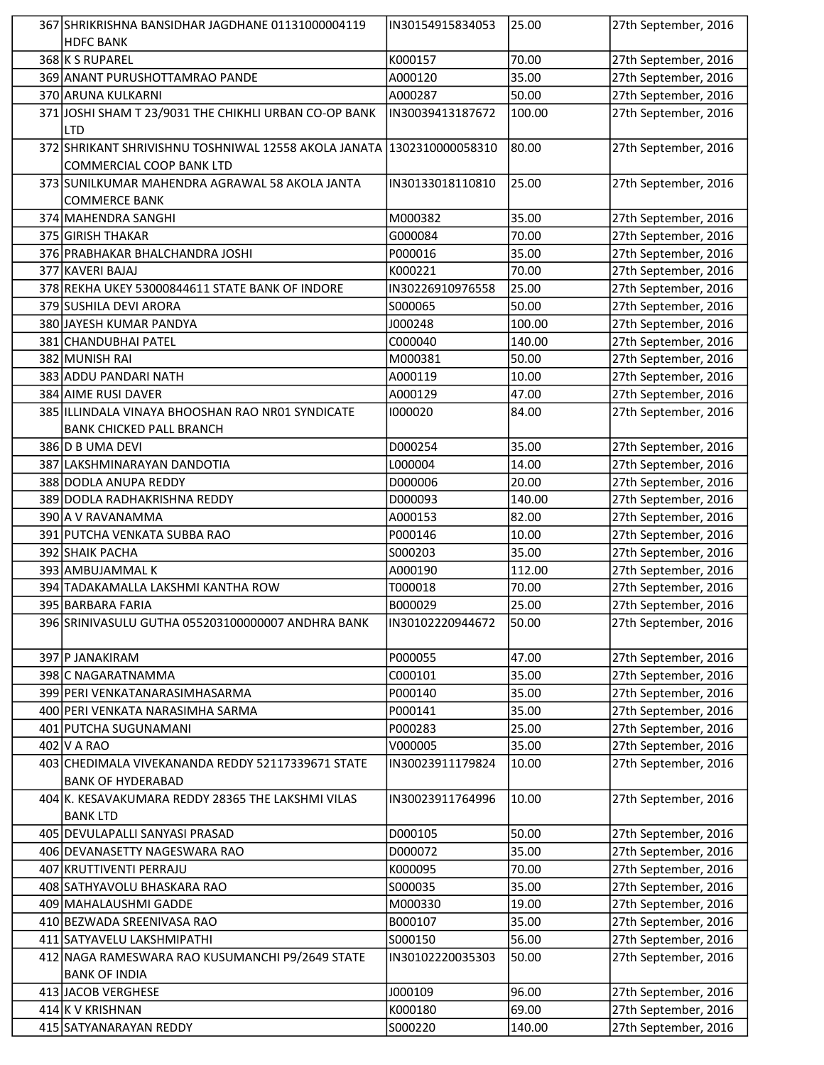| 367 SHRIKRISHNA BANSIDHAR JAGDHANE 01131000004119                       | IN30154915834053 | 25.00  | 27th September, 2016 |
|-------------------------------------------------------------------------|------------------|--------|----------------------|
| <b>HDFC BANK</b>                                                        |                  |        |                      |
| 368 K S RUPAREL                                                         | K000157          | 70.00  | 27th September, 2016 |
| 369 ANANT PURUSHOTTAMRAO PANDE                                          | A000120          | 35.00  | 27th September, 2016 |
| 370 ARUNA KULKARNI                                                      | A000287          | 50.00  | 27th September, 2016 |
| 371 JOSHI SHAM T 23/9031 THE CHIKHLI URBAN CO-OP BANK<br>LTD            | IN30039413187672 | 100.00 | 27th September, 2016 |
| 372 SHRIKANT SHRIVISHNU TOSHNIWAL 12558 AKOLA JANATA 1302310000058310   |                  | 80.00  | 27th September, 2016 |
| COMMERCIAL COOP BANK LTD                                                |                  |        |                      |
| 373 SUNILKUMAR MAHENDRA AGRAWAL 58 AKOLA JANTA<br><b>COMMERCE BANK</b>  | IN30133018110810 | 25.00  | 27th September, 2016 |
| 374 MAHENDRA SANGHI                                                     | M000382          | 35.00  | 27th September, 2016 |
| 375 GIRISH THAKAR                                                       | G000084          | 70.00  | 27th September, 2016 |
| 376 PRABHAKAR BHALCHANDRA JOSHI                                         | P000016          | 35.00  | 27th September, 2016 |
| 377 KAVERI BAJAJ                                                        | K000221          | 70.00  | 27th September, 2016 |
| 378 REKHA UKEY 53000844611 STATE BANK OF INDORE                         | IN30226910976558 | 25.00  | 27th September, 2016 |
| 379 SUSHILA DEVI ARORA                                                  | S000065          | 50.00  | 27th September, 2016 |
| 380 JAYESH KUMAR PANDYA                                                 | J000248          | 100.00 | 27th September, 2016 |
| 381 CHANDUBHAI PATEL                                                    | C000040          | 140.00 | 27th September, 2016 |
| 382 MUNISH RAI                                                          | M000381          | 50.00  | 27th September, 2016 |
| 383 ADDU PANDARI NATH                                                   | A000119          | 10.00  | 27th September, 2016 |
| 384 AIME RUSI DAVER                                                     | A000129          | 47.00  | 27th September, 2016 |
| 385 ILLINDALA VINAYA BHOOSHAN RAO NR01 SYNDICATE                        | 1000020          | 84.00  | 27th September, 2016 |
|                                                                         |                  |        |                      |
| <b>BANK CHICKED PALL BRANCH</b>                                         |                  |        |                      |
| 386 D B UMA DEVI                                                        | D000254          | 35.00  | 27th September, 2016 |
| 387 LAKSHMINARAYAN DANDOTIA                                             | L000004          | 14.00  | 27th September, 2016 |
| 388 DODLA ANUPA REDDY                                                   | D000006          | 20.00  | 27th September, 2016 |
| 389 DODLA RADHAKRISHNA REDDY                                            | D000093          | 140.00 | 27th September, 2016 |
| 390 A V RAVANAMMA                                                       | A000153          | 82.00  | 27th September, 2016 |
| 391 PUTCHA VENKATA SUBBA RAO                                            | P000146          | 10.00  | 27th September, 2016 |
| 392 SHAIK PACHA                                                         | S000203          | 35.00  | 27th September, 2016 |
| 393 AMBUJAMMAL K                                                        | A000190          | 112.00 | 27th September, 2016 |
| 394 TADAKAMALLA LAKSHMI KANTHA ROW                                      | T000018          | 70.00  | 27th September, 2016 |
| 395 BARBARA FARIA                                                       | B000029          | 25.00  | 27th September, 2016 |
| 396 SRINIVASULU GUTHA 055203100000007 ANDHRA BANK                       | IN30102220944672 | 50.00  | 27th September, 2016 |
| 397 P JANAKIRAM                                                         | P000055          | 47.00  | 27th September, 2016 |
| 398 C NAGARATNAMMA                                                      | C000101          | 35.00  | 27th September, 2016 |
| 399 PERI VENKATANARASIMHASARMA                                          | P000140          | 35.00  | 27th September, 2016 |
| 400 PERI VENKATA NARASIMHA SARMA                                        | P000141          | 35.00  | 27th September, 2016 |
| 401 PUTCHA SUGUNAMANI                                                   | P000283          | 25.00  | 27th September, 2016 |
| 402 V A RAO                                                             | V000005          | 35.00  | 27th September, 2016 |
| 403 CHEDIMALA VIVEKANANDA REDDY 52117339671 STATE                       | IN30023911179824 | 10.00  | 27th September, 2016 |
| <b>BANK OF HYDERABAD</b>                                                |                  |        |                      |
| 404 K. KESAVAKUMARA REDDY 28365 THE LAKSHMI VILAS                       | IN30023911764996 | 10.00  | 27th September, 2016 |
| <b>BANK LTD</b>                                                         |                  |        |                      |
| 405   DEVULAPALLI SANYASI PRASAD                                        | D000105          | 50.00  | 27th September, 2016 |
| 406 DEVANASETTY NAGESWARA RAO                                           | D000072          | 35.00  | 27th September, 2016 |
| 407 KRUTTIVENTI PERRAJU                                                 | K000095          | 70.00  | 27th September, 2016 |
| 408 SATHYAVOLU BHASKARA RAO                                             | S000035          | 35.00  | 27th September, 2016 |
| 409 MAHALAUSHMI GADDE                                                   | M000330          | 19.00  | 27th September, 2016 |
| 410 BEZWADA SREENIVASA RAO                                              | B000107          | 35.00  | 27th September, 2016 |
| 411 SATYAVELU LAKSHMIPATHI                                              | S000150          | 56.00  | 27th September, 2016 |
| 412 NAGA RAMESWARA RAO KUSUMANCHI P9/2649 STATE<br><b>BANK OF INDIA</b> | IN30102220035303 | 50.00  | 27th September, 2016 |
| 413 JACOB VERGHESE                                                      | J000109          | 96.00  | 27th September, 2016 |
| 414 K V KRISHNAN                                                        | K000180          | 69.00  | 27th September, 2016 |
| 415 SATYANARAYAN REDDY                                                  | S000220          | 140.00 | 27th September, 2016 |
|                                                                         |                  |        |                      |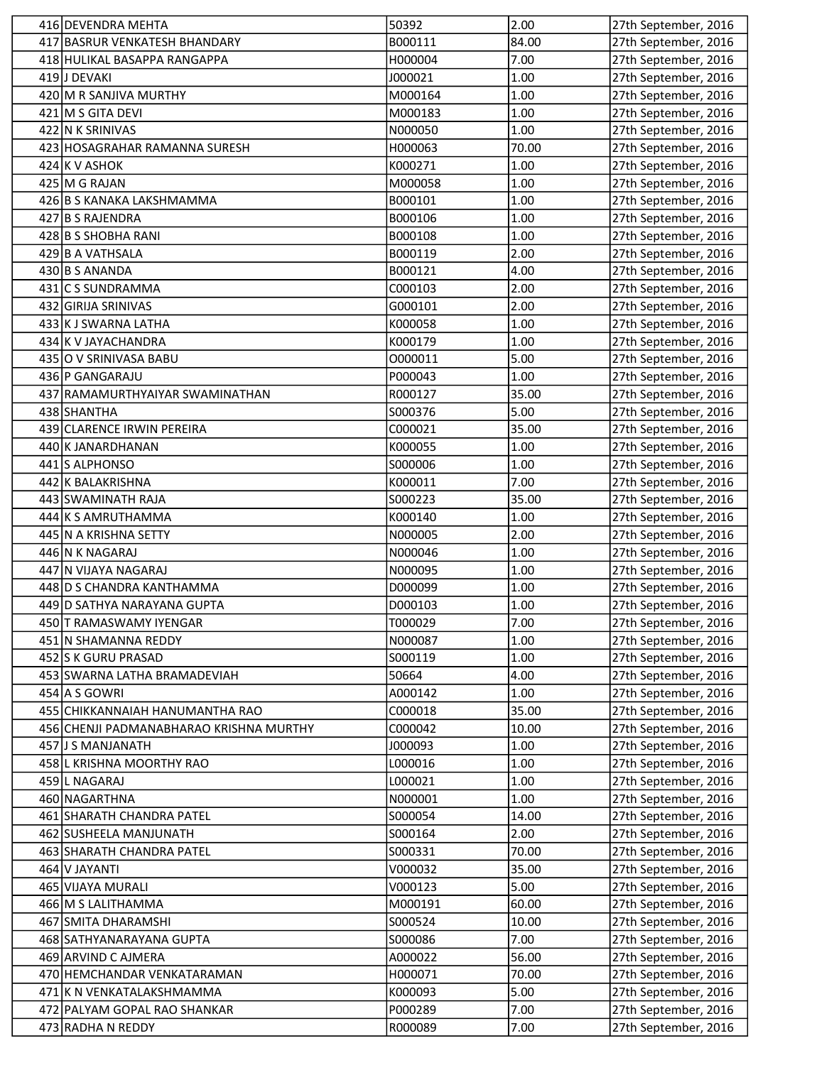| 416 DEVENDRA MEHTA                      | 50392              | 2.00          | 27th September, 2016                         |
|-----------------------------------------|--------------------|---------------|----------------------------------------------|
| 417 BASRUR VENKATESH BHANDARY           | B000111            | 84.00         | 27th September, 2016                         |
| 418 HULIKAL BASAPPA RANGAPPA            | H000004            | 7.00          | 27th September, 2016                         |
| 419 J DEVAKI                            | J000021            | 1.00          | 27th September, 2016                         |
| 420 M R SANJIVA MURTHY                  | M000164            | 1.00          | 27th September, 2016                         |
| 421 M S GITA DEVI                       | M000183            | 1.00          | 27th September, 2016                         |
| 422 N K SRINIVAS                        | N000050            | 1.00          | 27th September, 2016                         |
| 423 HOSAGRAHAR RAMANNA SURESH           | H000063            | 70.00         | 27th September, 2016                         |
| $424$ K V ASHOK                         | K000271            | 1.00          | 27th September, 2016                         |
| 425 M G RAJAN                           | M000058            | 1.00          | 27th September, 2016                         |
| 426 B S KANAKA LAKSHMAMMA               | B000101            | 1.00          | 27th September, 2016                         |
| 427 B S RAJENDRA                        | B000106            | 1.00          | 27th September, 2016                         |
| 428 B S SHOBHA RANI                     | B000108            | 1.00          | 27th September, 2016                         |
| 429 B A VATHSALA                        | B000119            | 2.00          | 27th September, 2016                         |
| 430 B S ANANDA                          | B000121            | 4.00          | 27th September, 2016                         |
| 431 C S SUNDRAMMA                       | C000103            | 2.00          | 27th September, 2016                         |
| 432 GIRIJA SRINIVAS                     | G000101            | 2.00          | 27th September, 2016                         |
| 433 K J SWARNA LATHA                    | K000058            | 1.00          | 27th September, 2016                         |
| 434 K V JAYACHANDRA                     | K000179            | 1.00          | 27th September, 2016                         |
| 435 O V SRINIVASA BABU                  | 0000011            | 5.00          | 27th September, 2016                         |
| 436 P GANGARAJU                         | P000043            | 1.00          | 27th September, 2016                         |
| 437 RAMAMURTHYAIYAR SWAMINATHAN         | R000127            | 35.00         | 27th September, 2016                         |
| 438 SHANTHA                             | S000376            | 5.00          | 27th September, 2016                         |
| 439 CLARENCE IRWIN PEREIRA              | C000021            | 35.00         | 27th September, 2016                         |
| 440 K JANARDHANAN                       | K000055            | 1.00          | 27th September, 2016                         |
| 441 S ALPHONSO                          | S000006            | 1.00          | 27th September, 2016                         |
| 442 K BALAKRISHNA                       | K000011            | 7.00          | 27th September, 2016                         |
| 443 SWAMINATH RAJA                      | S000223            | 35.00         | 27th September, 2016                         |
| 444 K S AMRUTHAMMA                      | K000140            | 1.00          | 27th September, 2016                         |
| 445 N A KRISHNA SETTY                   | N000005            | 2.00          | 27th September, 2016                         |
| 446 N K NAGARAJ                         | N000046            | 1.00          | 27th September, 2016                         |
| 447 N VIJAYA NAGARAJ                    | N000095            | 1.00          | 27th September, 2016                         |
| 448 D S CHANDRA KANTHAMMA               | D000099            | 1.00          | 27th September, 2016                         |
| 449 D SATHYA NARAYANA GUPTA             | D000103            | 1.00          | 27th September, 2016                         |
| 450 T RAMASWAMY IYENGAR                 | T000029            | 7.00          | 27th September, 2016                         |
| 451 N SHAMANNA REDDY                    | N000087            | 1.00          | 27th September, 2016                         |
| 452 S K GURU PRASAD                     | S000119            | 1.00          | 27th September, 2016                         |
| 453 SWARNA LATHA BRAMADEVIAH            | 50664              | 4.00          | 27th September, 2016                         |
| 454 A S GOWRI                           | A000142            | 1.00          | 27th September, 2016                         |
| 455 CHIKKANNAIAH HANUMANTHA RAO         | C000018            | 35.00         | 27th September, 2016                         |
| 456 CHENJI PADMANABHARAO KRISHNA MURTHY | C000042            | 10.00         | 27th September, 2016                         |
| 457 J S MANJANATH                       | J000093            | 1.00          | 27th September, 2016                         |
| 458 L KRISHNA MOORTHY RAO               | L000016            | 1.00          | 27th September, 2016                         |
| 459 L NAGARAJ                           | L000021            | 1.00          | 27th September, 2016                         |
| 460 NAGARTHNA                           | N000001            | 1.00          | 27th September, 2016                         |
| 461 SHARATH CHANDRA PATEL               |                    |               |                                              |
| 462 SUSHEELA MANJUNATH                  | S000054<br>S000164 | 14.00<br>2.00 | 27th September, 2016<br>27th September, 2016 |
|                                         |                    |               |                                              |
| 463 SHARATH CHANDRA PATEL               | S000331            | 70.00         | 27th September, 2016                         |
| 464 V JAYANTI                           | V000032            | 35.00         | 27th September, 2016                         |
| 465 VIJAYA MURALI                       | V000123            | 5.00          | 27th September, 2016                         |
| 466 M S LALITHAMMA                      | M000191            | 60.00         | 27th September, 2016                         |
| 467 SMITA DHARAMSHI                     | S000524            | 10.00         | 27th September, 2016                         |
| 468 SATHYANARAYANA GUPTA                | S000086            | 7.00          | 27th September, 2016                         |
| 469 ARVIND C AJMERA                     | A000022            | 56.00         | 27th September, 2016                         |
| 470 HEMCHANDAR VENKATARAMAN             | H000071            | 70.00         | 27th September, 2016                         |
| 471 K N VENKATALAKSHMAMMA               | K000093            | 5.00          | 27th September, 2016                         |
| 472 PALYAM GOPAL RAO SHANKAR            | P000289            | 7.00          | 27th September, 2016                         |
| 473 RADHA N REDDY                       | R000089            | 7.00          | 27th September, 2016                         |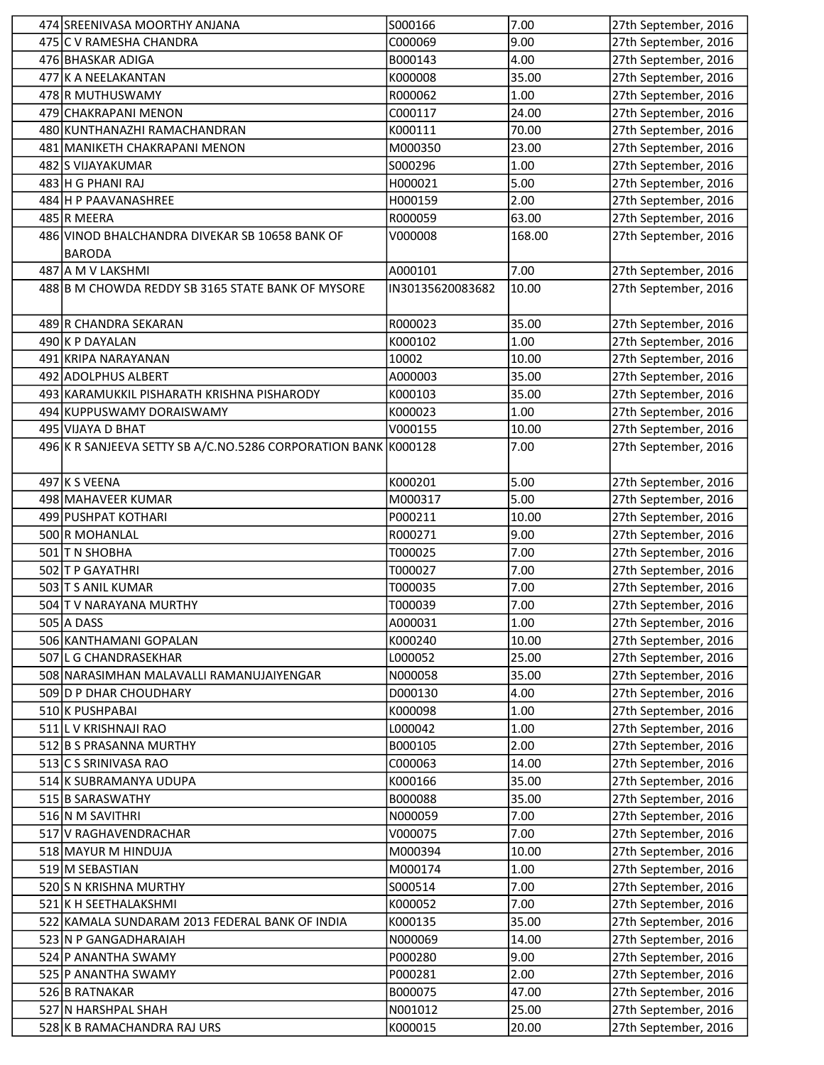| 474 SREENIVASA MOORTHY ANJANA                                  | S000166          | 7.00   | 27th September, 2016 |
|----------------------------------------------------------------|------------------|--------|----------------------|
| 475 C V RAMESHA CHANDRA                                        | C000069          | 9.00   | 27th September, 2016 |
| 476 BHASKAR ADIGA                                              | B000143          | 4.00   | 27th September, 2016 |
| 477 K A NEELAKANTAN                                            | K000008          | 35.00  | 27th September, 2016 |
| 478 R MUTHUSWAMY                                               | R000062          | 1.00   | 27th September, 2016 |
| 479 CHAKRAPANI MENON                                           | C000117          | 24.00  | 27th September, 2016 |
| 480 KUNTHANAZHI RAMACHANDRAN                                   | K000111          | 70.00  | 27th September, 2016 |
| 481 MANIKETH CHAKRAPANI MENON                                  | M000350          | 23.00  | 27th September, 2016 |
| 482 S VIJAYAKUMAR                                              | S000296          | 1.00   | 27th September, 2016 |
| 483 H G PHANI RAJ                                              | H000021          | 5.00   | 27th September, 2016 |
| 484 H P PAAVANASHREE                                           | H000159          | 2.00   | 27th September, 2016 |
| 485 R MEERA                                                    | R000059          | 63.00  | 27th September, 2016 |
| 486 VINOD BHALCHANDRA DIVEKAR SB 10658 BANK OF                 | V000008          | 168.00 | 27th September, 2016 |
| <b>BARODA</b>                                                  |                  |        |                      |
| 487 A M V LAKSHMI                                              | A000101          | 7.00   | 27th September, 2016 |
| 488 B M CHOWDA REDDY SB 3165 STATE BANK OF MYSORE              | IN30135620083682 | 10.00  | 27th September, 2016 |
|                                                                |                  |        |                      |
| 489 R CHANDRA SEKARAN                                          | R000023          | 35.00  | 27th September, 2016 |
| 490 K P DAYALAN                                                | K000102          | 1.00   | 27th September, 2016 |
| 491 KRIPA NARAYANAN                                            | 10002            | 10.00  | 27th September, 2016 |
| 492 ADOLPHUS ALBERT                                            | A000003          | 35.00  | 27th September, 2016 |
| 493 KARAMUKKIL PISHARATH KRISHNA PISHARODY                     | K000103          | 35.00  | 27th September, 2016 |
| 494 KUPPUSWAMY DORAISWAMY                                      | K000023          | 1.00   | 27th September, 2016 |
| 495 VIJAYA D BHAT                                              | V000155          | 10.00  | 27th September, 2016 |
| 496 K R SANJEEVA SETTY SB A/C.NO.5286 CORPORATION BANK K000128 |                  | 7.00   | 27th September, 2016 |
|                                                                |                  |        |                      |
| 497 K S VEENA                                                  | K000201          | 5.00   | 27th September, 2016 |
| 498 MAHAVEER KUMAR                                             | M000317          | 5.00   | 27th September, 2016 |
| 499 PUSHPAT KOTHARI                                            | P000211          | 10.00  | 27th September, 2016 |
| 500 R MOHANLAL                                                 | R000271          | 9.00   | 27th September, 2016 |
| 501 T N SHOBHA                                                 | T000025          | 7.00   | 27th September, 2016 |
| 502 T P GAYATHRI                                               | T000027          | 7.00   | 27th September, 2016 |
| 503 T S ANIL KUMAR                                             | T000035          | 7.00   | 27th September, 2016 |
| 504 T V NARAYANA MURTHY                                        | T000039          | 7.00   | 27th September, 2016 |
| 505 A DASS                                                     | A000031          | 1.00   | 27th September, 2016 |
| 506 KANTHAMANI GOPALAN                                         | K000240          | 10.00  | 27th September, 2016 |
| 507 L G CHANDRASEKHAR                                          | L000052          | 25.00  | 27th September, 2016 |
| 508 NARASIMHAN MALAVALLI RAMANUJAIYENGAR                       | N000058          | 35.00  | 27th September, 2016 |
| 509 D P DHAR CHOUDHARY                                         | D000130          | 4.00   | 27th September, 2016 |
| 510 K PUSHPABAI                                                | K000098          | 1.00   | 27th September, 2016 |
| 511 L V KRISHNAJI RAO                                          | L000042          | 1.00   | 27th September, 2016 |
| 512 B S PRASANNA MURTHY                                        | B000105          | 2.00   | 27th September, 2016 |
| 513 C S SRINIVASA RAO                                          | C000063          | 14.00  | 27th September, 2016 |
| 514 K SUBRAMANYA UDUPA                                         | K000166          | 35.00  | 27th September, 2016 |
| 515 B SARASWATHY                                               | B000088          | 35.00  | 27th September, 2016 |
| 516 N M SAVITHRI                                               | N000059          | 7.00   | 27th September, 2016 |
| 517 V RAGHAVENDRACHAR                                          | V000075          | 7.00   | 27th September, 2016 |
| 518 MAYUR M HINDUJA                                            | M000394          | 10.00  | 27th September, 2016 |
| 519 M SEBASTIAN                                                | M000174          | 1.00   | 27th September, 2016 |
| 520 S N KRISHNA MURTHY                                         | S000514          | 7.00   | 27th September, 2016 |
| 521 K H SEETHALAKSHMI                                          | K000052          | 7.00   | 27th September, 2016 |
| 522 KAMALA SUNDARAM 2013 FEDERAL BANK OF INDIA                 | K000135          | 35.00  | 27th September, 2016 |
| 523 N P GANGADHARAIAH                                          | N000069          | 14.00  | 27th September, 2016 |
| 524 P ANANTHA SWAMY                                            | P000280          | 9.00   | 27th September, 2016 |
| 525 P ANANTHA SWAMY                                            | P000281          | 2.00   | 27th September, 2016 |
| 526 B RATNAKAR                                                 | B000075          | 47.00  | 27th September, 2016 |
| 527 N HARSHPAL SHAH                                            | N001012          | 25.00  | 27th September, 2016 |
| 528 K B RAMACHANDRA RAJ URS                                    | K000015          | 20.00  | 27th September, 2016 |
|                                                                |                  |        |                      |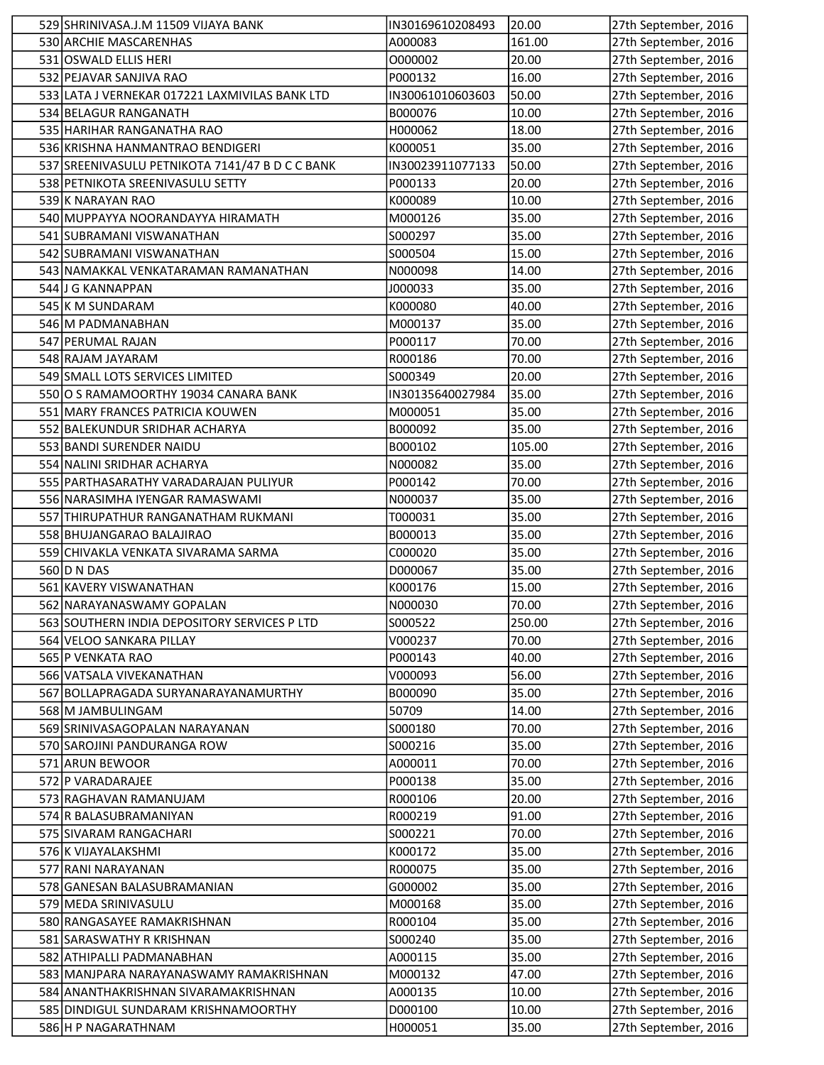| 529 SHRINIVASA.J.M 11509 VIJAYA BANK               | IN30169610208493   | 20.00          | 27th September, 2016                         |
|----------------------------------------------------|--------------------|----------------|----------------------------------------------|
| 530 ARCHIE MASCARENHAS                             | A000083            | 161.00         | 27th September, 2016                         |
| 531 OSWALD ELLIS HERI                              | O000002            | 20.00          | 27th September, 2016                         |
| 532 PEJAVAR SANJIVA RAO                            | P000132            | 16.00          | 27th September, 2016                         |
| 533 LATA J VERNEKAR 017221 LAXMIVILAS BANK LTD     | IN30061010603603   | 50.00          | 27th September, 2016                         |
| 534 BELAGUR RANGANATH                              | B000076            | 10.00          | 27th September, 2016                         |
| 535 HARIHAR RANGANATHA RAO                         | H000062            | 18.00          | 27th September, 2016                         |
| 536 KRISHNA HANMANTRAO BENDIGERI                   | K000051            | 35.00          | 27th September, 2016                         |
| 537 SREENIVASULU PETNIKOTA 7141/47 B D C C BANK    | IN30023911077133   | 50.00          | 27th September, 2016                         |
| 538 PETNIKOTA SREENIVASULU SETTY                   | P000133            | 20.00          | 27th September, 2016                         |
| 539 K NARAYAN RAO                                  | K000089            | 10.00          | 27th September, 2016                         |
| 540 MUPPAYYA NOORANDAYYA HIRAMATH                  | M000126            | 35.00          | 27th September, 2016                         |
| 541 SUBRAMANI VISWANATHAN                          | S000297            | 35.00          | 27th September, 2016                         |
| 542 SUBRAMANI VISWANATHAN                          | S000504            | 15.00          | 27th September, 2016                         |
| 543 NAMAKKAL VENKATARAMAN RAMANATHAN               | N000098            | 14.00          | 27th September, 2016                         |
| 544 J G KANNAPPAN                                  | J000033            | 35.00          | 27th September, 2016                         |
| 545 K M SUNDARAM                                   | K000080            | 40.00          | 27th September, 2016                         |
| 546 M PADMANABHAN                                  | M000137            | 35.00          | 27th September, 2016                         |
| 547 PERUMAL RAJAN                                  | P000117            | 70.00          | 27th September, 2016                         |
| 548 RAJAM JAYARAM                                  | R000186            | 70.00          | 27th September, 2016                         |
| 549 SMALL LOTS SERVICES LIMITED                    | S000349            | 20.00          | 27th September, 2016                         |
| 550 O S RAMAMOORTHY 19034 CANARA BANK              | IN30135640027984   | 35.00          | 27th September, 2016                         |
| 551 MARY FRANCES PATRICIA KOUWEN                   | M000051            | 35.00          | 27th September, 2016                         |
| 552 BALEKUNDUR SRIDHAR ACHARYA                     | B000092            | 35.00          | 27th September, 2016                         |
| 553 BANDI SURENDER NAIDU                           | B000102            | 105.00         | 27th September, 2016                         |
| 554 NALINI SRIDHAR ACHARYA                         | N000082            | 35.00          | 27th September, 2016                         |
| 555 PARTHASARATHY VARADARAJAN PULIYUR              | P000142            | 70.00          | 27th September, 2016                         |
| 556 NARASIMHA IYENGAR RAMASWAMI                    | N000037            | 35.00          | 27th September, 2016                         |
| 557 THIRUPATHUR RANGANATHAM RUKMANI                | T000031            | 35.00          | 27th September, 2016                         |
| 558 BHUJANGARAO BALAJIRAO                          | B000013            | 35.00          | 27th September, 2016                         |
| 559 CHIVAKLA VENKATA SIVARAMA SARMA<br>560 D N DAS | C000020<br>D000067 | 35.00<br>35.00 | 27th September, 2016                         |
| 561 KAVERY VISWANATHAN                             | K000176            | 15.00          | 27th September, 2016<br>27th September, 2016 |
| 562 NARAYANASWAMY GOPALAN                          | N000030            | 70.00          | 27th September, 2016                         |
| 563 SOUTHERN INDIA DEPOSITORY SERVICES P LTD       | S000522            | 250.00         | 27th September, 2016                         |
| 564 VELOO SANKARA PILLAY                           | V000237            | 70.00          | 27th September, 2016                         |
| 565   P VENKATA RAO                                | P000143            | 40.00          | 27th September, 2016                         |
| 566 VATSALA VIVEKANATHAN                           | V000093            | 56.00          | 27th September, 2016                         |
| 567 BOLLAPRAGADA SURYANARAYANAMURTHY               | B000090            | 35.00          | 27th September, 2016                         |
| 568 M JAMBULINGAM                                  | 50709              | 14.00          | 27th September, 2016                         |
| 569 SRINIVASAGOPALAN NARAYANAN                     | S000180            | 70.00          | 27th September, 2016                         |
| 570 SAROJINI PANDURANGA ROW                        | S000216            | 35.00          | 27th September, 2016                         |
| 571 ARUN BEWOOR                                    | A000011            | 70.00          | 27th September, 2016                         |
| 572 P VARADARAJEE                                  | P000138            | 35.00          | 27th September, 2016                         |
| 573 RAGHAVAN RAMANUJAM                             | R000106            | 20.00          | 27th September, 2016                         |
| 574 R BALASUBRAMANIYAN                             | R000219            | 91.00          | 27th September, 2016                         |
| 575 SIVARAM RANGACHARI                             | S000221            | 70.00          | 27th September, 2016                         |
| 576 K VIJAYALAKSHMI                                | K000172            | 35.00          | 27th September, 2016                         |
| 577 RANI NARAYANAN                                 | R000075            | 35.00          | 27th September, 2016                         |
| 578 GANESAN BALASUBRAMANIAN                        | G000002            | 35.00          | 27th September, 2016                         |
| 579 MEDA SRINIVASULU                               | M000168            | 35.00          | 27th September, 2016                         |
| 580 RANGASAYEE RAMAKRISHNAN                        | R000104            | 35.00          | 27th September, 2016                         |
| 581 SARASWATHY R KRISHNAN                          | S000240            | 35.00          | 27th September, 2016                         |
| 582 ATHIPALLI PADMANABHAN                          | A000115            | 35.00          | 27th September, 2016                         |
| 583 MANJPARA NARAYANASWAMY RAMAKRISHNAN            | M000132            | 47.00          | 27th September, 2016                         |
| 584 ANANTHAKRISHNAN SIVARAMAKRISHNAN               | A000135            | 10.00          | 27th September, 2016                         |
| 585 DINDIGUL SUNDARAM KRISHNAMOORTHY               | D000100<br>H000051 | 10.00<br>35.00 | 27th September, 2016<br>27th September, 2016 |
| 586 H P NAGARATHNAM                                |                    |                |                                              |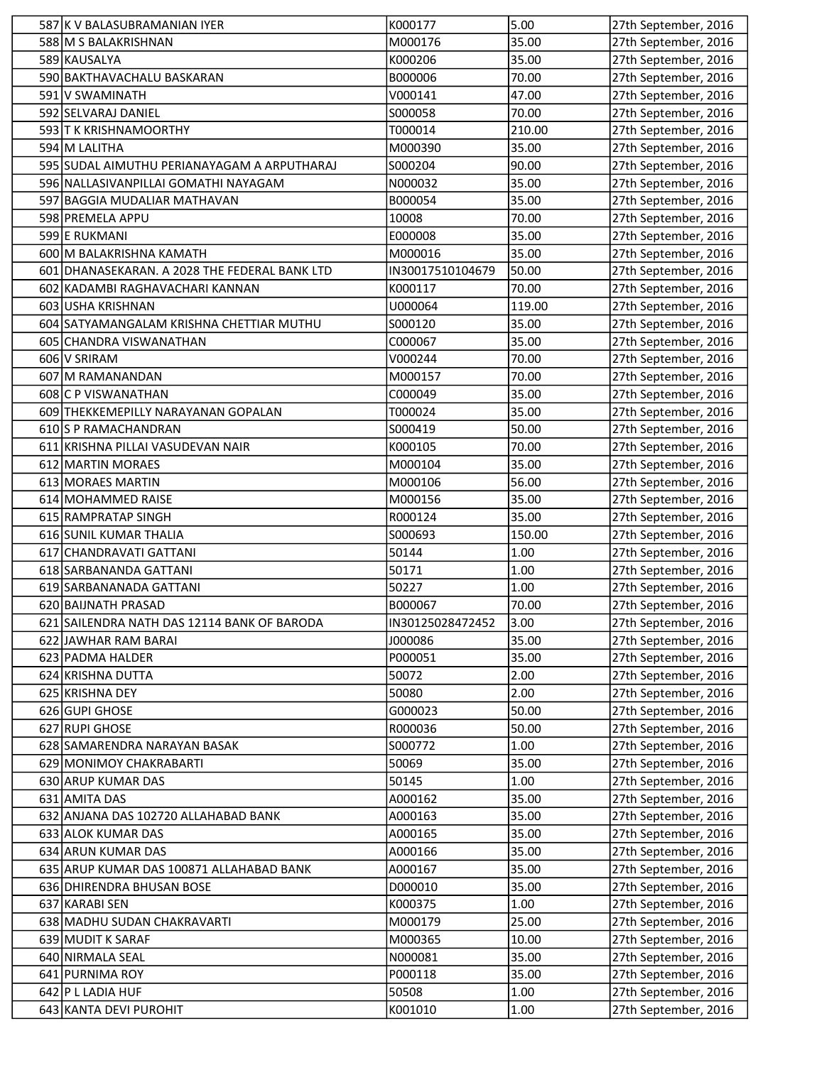| 587 K V BALASUBRAMANIAN IYER                  | K000177          | 5.00   | 27th September, 2016 |
|-----------------------------------------------|------------------|--------|----------------------|
| 588 M S BALAKRISHNAN                          | M000176          | 35.00  | 27th September, 2016 |
| 589 KAUSALYA                                  | K000206          | 35.00  | 27th September, 2016 |
| 590 BAKTHAVACHALU BASKARAN                    | B000006          | 70.00  | 27th September, 2016 |
| 591 V SWAMINATH                               | V000141          | 47.00  | 27th September, 2016 |
| 592 SELVARAJ DANIEL                           | S000058          | 70.00  | 27th September, 2016 |
| 593 T K KRISHNAMOORTHY                        | T000014          | 210.00 | 27th September, 2016 |
| 594 M LALITHA                                 | M000390          | 35.00  | 27th September, 2016 |
| 595 SUDAL AIMUTHU PERIANAYAGAM A ARPUTHARAJ   | S000204          | 90.00  | 27th September, 2016 |
| 596 NALLASIVANPILLAI GOMATHI NAYAGAM          | N000032          | 35.00  | 27th September, 2016 |
| 597 BAGGIA MUDALIAR MATHAVAN                  | B000054          | 35.00  | 27th September, 2016 |
| 598 PREMELA APPU                              | 10008            | 70.00  | 27th September, 2016 |
| 599 E RUKMANI                                 | E000008          | 35.00  | 27th September, 2016 |
| 600 M BALAKRISHNA KAMATH                      | M000016          | 35.00  | 27th September, 2016 |
| 601 DHANASEKARAN. A 2028 THE FEDERAL BANK LTD | IN30017510104679 | 50.00  | 27th September, 2016 |
| 602 KADAMBI RAGHAVACHARI KANNAN               | K000117          | 70.00  | 27th September, 2016 |
| 603 USHA KRISHNAN                             | U000064          | 119.00 | 27th September, 2016 |
| 604 SATYAMANGALAM KRISHNA CHETTIAR MUTHU      | S000120          | 35.00  | 27th September, 2016 |
| 605 CHANDRA VISWANATHAN                       | C000067          | 35.00  | 27th September, 2016 |
| 606 V SRIRAM                                  | V000244          | 70.00  | 27th September, 2016 |
| 607 M RAMANANDAN                              | M000157          | 70.00  | 27th September, 2016 |
| 608 C P VISWANATHAN                           | C000049          | 35.00  | 27th September, 2016 |
| 609 THEKKEMEPILLY NARAYANAN GOPALAN           | T000024          | 35.00  | 27th September, 2016 |
| 610 S P RAMACHANDRAN                          | S000419          | 50.00  | 27th September, 2016 |
| 611 KRISHNA PILLAI VASUDEVAN NAIR             | K000105          | 70.00  | 27th September, 2016 |
| 612 MARTIN MORAES                             | M000104          | 35.00  | 27th September, 2016 |
| 613 MORAES MARTIN                             | M000106          | 56.00  | 27th September, 2016 |
| 614 MOHAMMED RAISE                            | M000156          | 35.00  | 27th September, 2016 |
| 615 RAMPRATAP SINGH                           | R000124          | 35.00  | 27th September, 2016 |
| 616 SUNIL KUMAR THALIA                        | S000693          | 150.00 | 27th September, 2016 |
| 617 CHANDRAVATI GATTANI                       | 50144            | 1.00   | 27th September, 2016 |
| 618 SARBANANDA GATTANI                        | 50171            | 1.00   | 27th September, 2016 |
| 619 SARBANANADA GATTANI                       | 50227            | 1.00   | 27th September, 2016 |
| 620 BAIJNATH PRASAD                           | B000067          | 70.00  | 27th September, 2016 |
| 621 SAILENDRA NATH DAS 12114 BANK OF BARODA   | IN30125028472452 | 3.00   | 27th September, 2016 |
| 622 JAWHAR RAM BARAI                          | J000086          | 35.00  | 27th September, 2016 |
| 623 PADMA HALDER                              | P000051          | 35.00  | 27th September, 2016 |
| 624 KRISHNA DUTTA                             | 50072            | 2.00   | 27th September, 2016 |
| 625 KRISHNA DEY                               | 50080            | 2.00   | 27th September, 2016 |
| 626 GUPI GHOSE                                | G000023          | 50.00  | 27th September, 2016 |
| 627 RUPI GHOSE                                | R000036          | 50.00  | 27th September, 2016 |
| 628 SAMARENDRA NARAYAN BASAK                  | S000772          | 1.00   | 27th September, 2016 |
| 629 MONIMOY CHAKRABARTI                       | 50069            | 35.00  | 27th September, 2016 |
| 630 ARUP KUMAR DAS                            | 50145            | 1.00   | 27th September, 2016 |
| 631 AMITA DAS                                 | A000162          | 35.00  | 27th September, 2016 |
| 632 ANJANA DAS 102720 ALLAHABAD BANK          | A000163          | 35.00  | 27th September, 2016 |
| 633 ALOK KUMAR DAS                            | A000165          | 35.00  | 27th September, 2016 |
| 634 ARUN KUMAR DAS                            | A000166          | 35.00  | 27th September, 2016 |
| 635 ARUP KUMAR DAS 100871 ALLAHABAD BANK      | A000167          | 35.00  | 27th September, 2016 |
| 636 DHIRENDRA BHUSAN BOSE                     | D000010          | 35.00  | 27th September, 2016 |
| 637 KARABI SEN                                | K000375          | 1.00   | 27th September, 2016 |
| 638 MADHU SUDAN CHAKRAVARTI                   | M000179          | 25.00  | 27th September, 2016 |
| 639 MUDIT K SARAF                             | M000365          | 10.00  | 27th September, 2016 |
| 640 NIRMALA SEAL                              | N000081          | 35.00  | 27th September, 2016 |
| 641 PURNIMA ROY                               | P000118          | 35.00  | 27th September, 2016 |
| 642 P L LADIA HUF                             | 50508            | 1.00   | 27th September, 2016 |
| 643 KANTA DEVI PUROHIT                        | K001010          | 1.00   | 27th September, 2016 |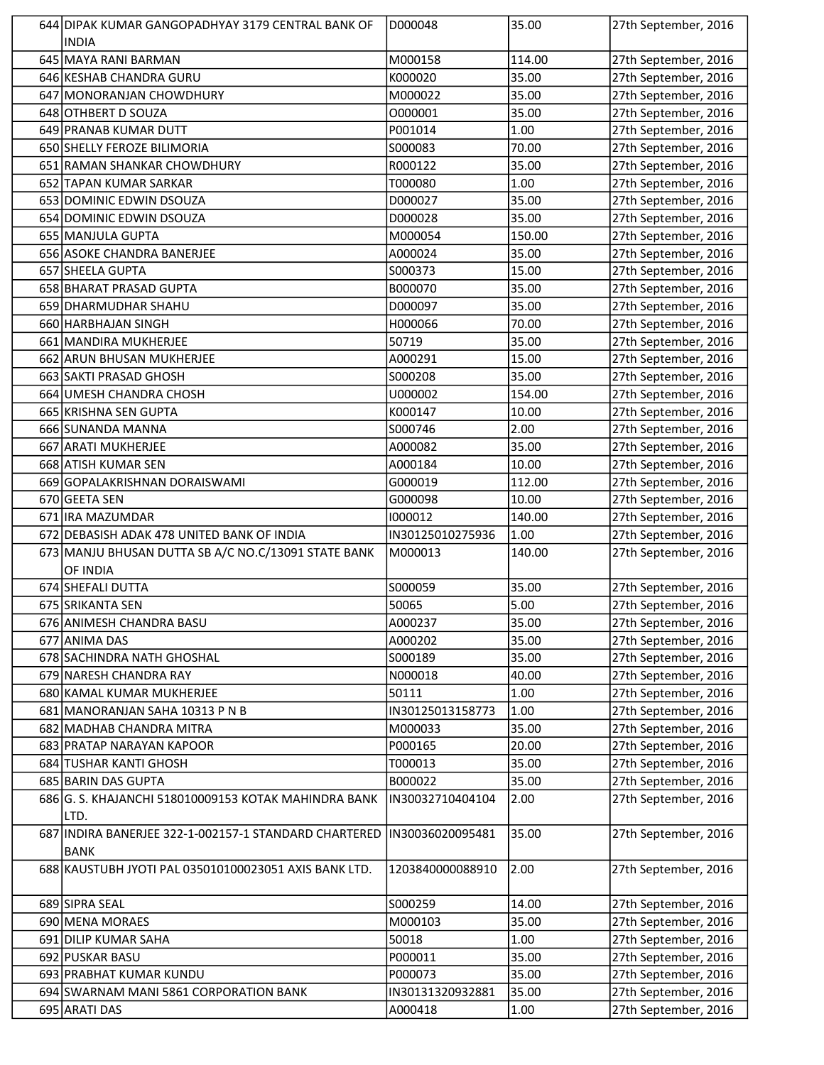| 644 DIPAK KUMAR GANGOPADHYAY 3179 CENTRAL BANK OF     | D000048          | 35.00  | 27th September, 2016 |
|-------------------------------------------------------|------------------|--------|----------------------|
| <b>INDIA</b>                                          |                  |        |                      |
| 645 MAYA RANI BARMAN                                  | M000158          | 114.00 | 27th September, 2016 |
| 646 KESHAB CHANDRA GURU                               | K000020          | 35.00  | 27th September, 2016 |
| 647 MONORANJAN CHOWDHURY                              | M000022          | 35.00  | 27th September, 2016 |
| 648 OTHBERT D SOUZA                                   | 0000001          | 35.00  | 27th September, 2016 |
| 649 PRANAB KUMAR DUTT                                 | P001014          | 1.00   | 27th September, 2016 |
| 650 SHELLY FEROZE BILIMORIA                           | S000083          | 70.00  | 27th September, 2016 |
| 651 RAMAN SHANKAR CHOWDHURY                           | R000122          | 35.00  | 27th September, 2016 |
| 652 TAPAN KUMAR SARKAR                                | T000080          | 1.00   | 27th September, 2016 |
| 653 DOMINIC EDWIN DSOUZA                              | D000027          | 35.00  | 27th September, 2016 |
| 654 DOMINIC EDWIN DSOUZA                              | D000028          | 35.00  | 27th September, 2016 |
| 655 MANJULA GUPTA                                     | M000054          | 150.00 | 27th September, 2016 |
| 656 ASOKE CHANDRA BANERJEE                            | A000024          | 35.00  | 27th September, 2016 |
| 657 SHEELA GUPTA                                      | S000373          | 15.00  | 27th September, 2016 |
| 658 BHARAT PRASAD GUPTA                               | B000070          | 35.00  | 27th September, 2016 |
| 659 DHARMUDHAR SHAHU                                  | D000097          | 35.00  | 27th September, 2016 |
| 660 HARBHAJAN SINGH                                   | H000066          | 70.00  | 27th September, 2016 |
| 661 MANDIRA MUKHERJEE                                 | 50719            | 35.00  | 27th September, 2016 |
| 662 ARUN BHUSAN MUKHERJEE                             | A000291          | 15.00  | 27th September, 2016 |
| 663 SAKTI PRASAD GHOSH                                | S000208          | 35.00  | 27th September, 2016 |
| 664 UMESH CHANDRA CHOSH                               | U000002          | 154.00 | 27th September, 2016 |
| 665 KRISHNA SEN GUPTA                                 | K000147          | 10.00  | 27th September, 2016 |
| 666 SUNANDA MANNA                                     | S000746          | 2.00   | 27th September, 2016 |
| 667 ARATI MUKHERJEE                                   | A000082          | 35.00  | 27th September, 2016 |
| 668 ATISH KUMAR SEN                                   | A000184          | 10.00  | 27th September, 2016 |
| 669 GOPALAKRISHNAN DORAISWAMI                         | G000019          | 112.00 | 27th September, 2016 |
| 670 GEETA SEN                                         | G000098          | 10.00  | 27th September, 2016 |
| 671 IRA MAZUMDAR                                      | 1000012          | 140.00 | 27th September, 2016 |
| 672 DEBASISH ADAK 478 UNITED BANK OF INDIA            | IN30125010275936 | 1.00   | 27th September, 2016 |
| 673 MANJU BHUSAN DUTTA SB A/C NO.C/13091 STATE BANK   | M000013          | 140.00 | 27th September, 2016 |
| OF INDIA                                              |                  |        |                      |
| 674 SHEFALI DUTTA                                     | S000059          | 35.00  | 27th September, 2016 |
| 675 SRIKANTA SEN                                      | 50065            | 5.00   | 27th September, 2016 |
| 676 ANIMESH CHANDRA BASU                              | A000237          | 35.00  | 27th September, 2016 |
| 677 ANIMA DAS                                         | A000202          | 35.00  | 27th September, 2016 |
| 678 SACHINDRA NATH GHOSHAL                            | S000189          | 35.00  | 27th September, 2016 |
| 679 NARESH CHANDRA RAY                                | N000018          | 40.00  | 27th September, 2016 |
| 680 KAMAL KUMAR MUKHERJEE                             | 50111            | 1.00   | 27th September, 2016 |
| 681 MANORANJAN SAHA 10313 P N B                       | IN30125013158773 | 1.00   | 27th September, 2016 |
| 682 MADHAB CHANDRA MITRA                              | M000033          | 35.00  | 27th September, 2016 |
| 683 PRATAP NARAYAN KAPOOR                             | P000165          | 20.00  | 27th September, 2016 |
| 684 TUSHAR KANTI GHOSH                                | T000013          | 35.00  | 27th September, 2016 |
| 685 BARIN DAS GUPTA                                   | B000022          | 35.00  | 27th September, 2016 |
| 686 G. S. KHAJANCHI 518010009153 KOTAK MAHINDRA BANK  | IN30032710404104 | 2.00   | 27th September, 2016 |
| LTD.                                                  |                  |        |                      |
| 687 INDIRA BANERJEE 322-1-002157-1 STANDARD CHARTERED | IN30036020095481 | 35.00  | 27th September, 2016 |
| <b>BANK</b>                                           |                  |        |                      |
| 688 KAUSTUBH JYOTI PAL 035010100023051 AXIS BANK LTD. | 1203840000088910 | 2.00   | 27th September, 2016 |
|                                                       |                  |        |                      |
| 689 SIPRA SEAL                                        | S000259          | 14.00  | 27th September, 2016 |
| 690 MENA MORAES                                       | M000103          | 35.00  | 27th September, 2016 |
| 691 DILIP KUMAR SAHA                                  | 50018            | 1.00   | 27th September, 2016 |
| 692 PUSKAR BASU                                       | P000011          | 35.00  | 27th September, 2016 |
| 693 PRABHAT KUMAR KUNDU                               | P000073          | 35.00  | 27th September, 2016 |
| 694 SWARNAM MANI 5861 CORPORATION BANK                | IN30131320932881 | 35.00  | 27th September, 2016 |
| 695 ARATI DAS                                         | A000418          | 1.00   | 27th September, 2016 |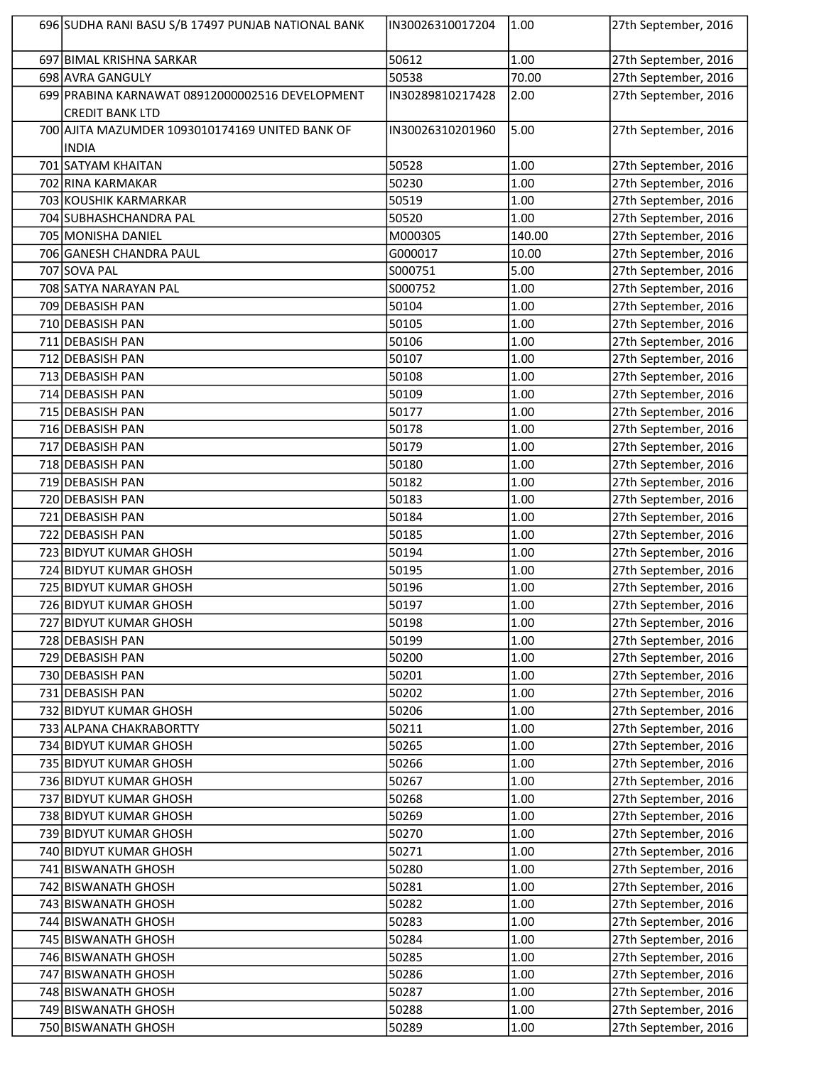| 696 SUDHA RANI BASU S/B 17497 PUNJAB NATIONAL BANK | IN30026310017204 | 1.00   | 27th September, 2016 |
|----------------------------------------------------|------------------|--------|----------------------|
| 697 BIMAL KRISHNA SARKAR                           | 50612            | 1.00   | 27th September, 2016 |
| 698 AVRA GANGULY                                   | 50538            | 70.00  | 27th September, 2016 |
| 699 PRABINA KARNAWAT 08912000002516 DEVELOPMENT    | IN30289810217428 | 2.00   | 27th September, 2016 |
| <b>CREDIT BANK LTD</b>                             |                  |        |                      |
| 700 AJITA MAZUMDER 1093010174169 UNITED BANK OF    | IN30026310201960 | 5.00   | 27th September, 2016 |
| <b>INDIA</b>                                       |                  |        |                      |
| 701 SATYAM KHAITAN                                 | 50528            | 1.00   | 27th September, 2016 |
| 702 RINA KARMAKAR                                  | 50230            | 1.00   | 27th September, 2016 |
| 703 KOUSHIK KARMARKAR                              | 50519            | 1.00   | 27th September, 2016 |
| 704 SUBHASHCHANDRA PAL                             | 50520            | 1.00   | 27th September, 2016 |
| 705 MONISHA DANIEL                                 | M000305          | 140.00 | 27th September, 2016 |
| 706 GANESH CHANDRA PAUL                            | G000017          | 10.00  | 27th September, 2016 |
| 707 SOVA PAL                                       | S000751          | 5.00   | 27th September, 2016 |
| 708 SATYA NARAYAN PAL                              | S000752          | 1.00   | 27th September, 2016 |
| 709 DEBASISH PAN                                   | 50104            | 1.00   | 27th September, 2016 |
| 710 DEBASISH PAN                                   | 50105            | 1.00   | 27th September, 2016 |
| 711 DEBASISH PAN                                   | 50106            | 1.00   | 27th September, 2016 |
| 712 DEBASISH PAN                                   | 50107            | 1.00   | 27th September, 2016 |
| 713 DEBASISH PAN                                   | 50108            | 1.00   | 27th September, 2016 |
| 714 DEBASISH PAN                                   | 50109            | 1.00   | 27th September, 2016 |
| 715 DEBASISH PAN                                   | 50177            | 1.00   | 27th September, 2016 |
| 716 DEBASISH PAN                                   | 50178            | 1.00   | 27th September, 2016 |
| 717 DEBASISH PAN                                   | 50179            | 1.00   | 27th September, 2016 |
| 718 DEBASISH PAN                                   | 50180            | 1.00   | 27th September, 2016 |
| 719 DEBASISH PAN                                   | 50182            | 1.00   | 27th September, 2016 |
| 720 DEBASISH PAN                                   | 50183            | 1.00   | 27th September, 2016 |
| 721 DEBASISH PAN                                   | 50184            | 1.00   | 27th September, 2016 |
| 722 DEBASISH PAN                                   | 50185            | 1.00   | 27th September, 2016 |
| 723 BIDYUT KUMAR GHOSH                             | 50194            | 1.00   | 27th September, 2016 |
| 724 BIDYUT KUMAR GHOSH                             | 50195            | 1.00   | 27th September, 2016 |
| 725 BIDYUT KUMAR GHOSH                             | 50196            | 1.00   | 27th September, 2016 |
| 726 BIDYUT KUMAR GHOSH                             | 50197            | 1.00   | 27th September, 2016 |
| 727 BIDYUT KUMAR GHOSH                             | 50198            | 1.00   | 27th September, 2016 |
| 728 DEBASISH PAN                                   | 50199            | 1.00   | 27th September, 2016 |
| 729 DEBASISH PAN                                   | 50200            | 1.00   | 27th September, 2016 |
| 730 DEBASISH PAN                                   | 50201            | 1.00   | 27th September, 2016 |
| 731 DEBASISH PAN                                   | 50202            | 1.00   | 27th September, 2016 |
| 732 BIDYUT KUMAR GHOSH                             | 50206            | 1.00   | 27th September, 2016 |
| 733 ALPANA CHAKRABORTTY                            | 50211            | 1.00   | 27th September, 2016 |
| 734 BIDYUT KUMAR GHOSH                             | 50265            | 1.00   | 27th September, 2016 |
| 735 BIDYUT KUMAR GHOSH                             | 50266            | 1.00   | 27th September, 2016 |
| 736 BIDYUT KUMAR GHOSH                             | 50267            | 1.00   | 27th September, 2016 |
| 737 BIDYUT KUMAR GHOSH                             | 50268            | 1.00   | 27th September, 2016 |
| 738 BIDYUT KUMAR GHOSH                             | 50269            | 1.00   | 27th September, 2016 |
| 739 BIDYUT KUMAR GHOSH                             | 50270            | 1.00   | 27th September, 2016 |
| 740 BIDYUT KUMAR GHOSH                             | 50271            | 1.00   | 27th September, 2016 |
| 741 BISWANATH GHOSH                                | 50280            | 1.00   | 27th September, 2016 |
| 742 BISWANATH GHOSH                                | 50281            | 1.00   | 27th September, 2016 |
| 743 BISWANATH GHOSH                                | 50282            | 1.00   | 27th September, 2016 |
| 744 BISWANATH GHOSH                                | 50283            | 1.00   | 27th September, 2016 |
| 745 BISWANATH GHOSH                                | 50284            | 1.00   | 27th September, 2016 |
| 746 BISWANATH GHOSH                                | 50285            | 1.00   | 27th September, 2016 |
| 747 BISWANATH GHOSH                                | 50286            | 1.00   | 27th September, 2016 |
| 748 BISWANATH GHOSH                                | 50287            | 1.00   | 27th September, 2016 |
| 749 BISWANATH GHOSH                                | 50288            | 1.00   | 27th September, 2016 |
| 750 BISWANATH GHOSH                                | 50289            | 1.00   | 27th September, 2016 |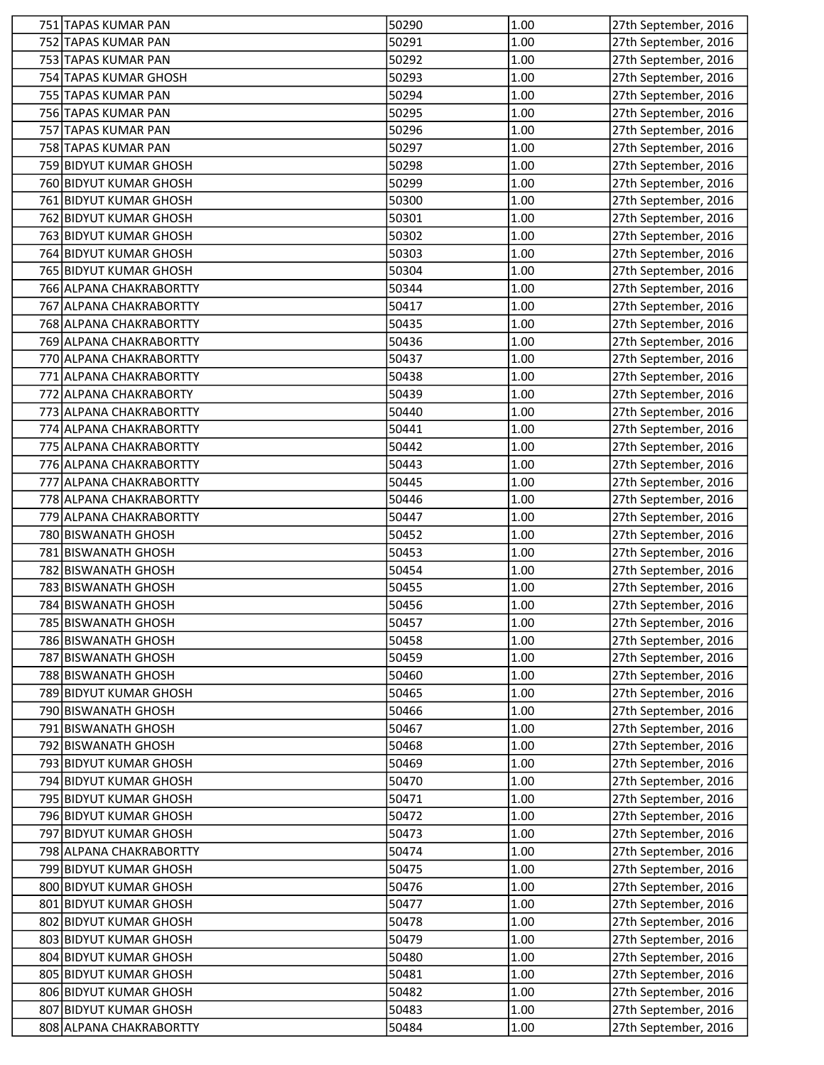| 751 TAPAS KUMAR PAN     | 50290 | 1.00 | 27th September, 2016 |
|-------------------------|-------|------|----------------------|
| 752 TAPAS KUMAR PAN     | 50291 | 1.00 | 27th September, 2016 |
| 753 TAPAS KUMAR PAN     | 50292 | 1.00 | 27th September, 2016 |
| 754 TAPAS KUMAR GHOSH   | 50293 | 1.00 | 27th September, 2016 |
| 755 TAPAS KUMAR PAN     | 50294 | 1.00 | 27th September, 2016 |
| 756 TAPAS KUMAR PAN     | 50295 | 1.00 | 27th September, 2016 |
| 757 TAPAS KUMAR PAN     | 50296 | 1.00 | 27th September, 2016 |
| 758 TAPAS KUMAR PAN     | 50297 | 1.00 | 27th September, 2016 |
| 759 BIDYUT KUMAR GHOSH  | 50298 | 1.00 | 27th September, 2016 |
| 760 BIDYUT KUMAR GHOSH  | 50299 | 1.00 | 27th September, 2016 |
| 761 BIDYUT KUMAR GHOSH  | 50300 | 1.00 | 27th September, 2016 |
| 762 BIDYUT KUMAR GHOSH  | 50301 | 1.00 | 27th September, 2016 |
| 763 BIDYUT KUMAR GHOSH  | 50302 | 1.00 | 27th September, 2016 |
| 764 BIDYUT KUMAR GHOSH  | 50303 | 1.00 | 27th September, 2016 |
| 765 BIDYUT KUMAR GHOSH  | 50304 | 1.00 | 27th September, 2016 |
| 766 ALPANA CHAKRABORTTY | 50344 | 1.00 | 27th September, 2016 |
| 767 ALPANA CHAKRABORTTY | 50417 | 1.00 | 27th September, 2016 |
| 768 ALPANA CHAKRABORTTY | 50435 | 1.00 | 27th September, 2016 |
| 769 ALPANA CHAKRABORTTY | 50436 | 1.00 | 27th September, 2016 |
| 770 ALPANA CHAKRABORTTY | 50437 | 1.00 | 27th September, 2016 |
| 771 ALPANA CHAKRABORTTY | 50438 | 1.00 | 27th September, 2016 |
| 772 ALPANA CHAKRABORTY  | 50439 | 1.00 | 27th September, 2016 |
| 773 ALPANA CHAKRABORTTY | 50440 | 1.00 | 27th September, 2016 |
| 774 ALPANA CHAKRABORTTY | 50441 | 1.00 | 27th September, 2016 |
| 775 ALPANA CHAKRABORTTY | 50442 | 1.00 | 27th September, 2016 |
| 776 ALPANA CHAKRABORTTY | 50443 | 1.00 | 27th September, 2016 |
| 777 ALPANA CHAKRABORTTY | 50445 | 1.00 | 27th September, 2016 |
| 778 ALPANA CHAKRABORTTY | 50446 | 1.00 | 27th September, 2016 |
| 779 ALPANA CHAKRABORTTY | 50447 | 1.00 | 27th September, 2016 |
| 780 BISWANATH GHOSH     | 50452 | 1.00 | 27th September, 2016 |
| 781 BISWANATH GHOSH     | 50453 | 1.00 | 27th September, 2016 |
| 782 BISWANATH GHOSH     | 50454 | 1.00 | 27th September, 2016 |
| 783 BISWANATH GHOSH     | 50455 | 1.00 | 27th September, 2016 |
| 784 BISWANATH GHOSH     | 50456 | 1.00 | 27th September, 2016 |
| 785 BISWANATH GHOSH     | 50457 | 1.00 | 27th September, 2016 |
| 786 BISWANATH GHOSH     | 50458 | 1.00 | 27th September, 2016 |
| 787 BISWANATH GHOSH     | 50459 | 1.00 | 27th September, 2016 |
| 788 BISWANATH GHOSH     | 50460 | 1.00 | 27th September, 2016 |
| 789 BIDYUT KUMAR GHOSH  | 50465 | 1.00 | 27th September, 2016 |
| 790 BISWANATH GHOSH     | 50466 | 1.00 | 27th September, 2016 |
| 791 BISWANATH GHOSH     | 50467 | 1.00 | 27th September, 2016 |
| 792 BISWANATH GHOSH     | 50468 | 1.00 | 27th September, 2016 |
| 793 BIDYUT KUMAR GHOSH  | 50469 | 1.00 | 27th September, 2016 |
| 794 BIDYUT KUMAR GHOSH  | 50470 | 1.00 | 27th September, 2016 |
| 795 BIDYUT KUMAR GHOSH  | 50471 | 1.00 | 27th September, 2016 |
| 796 BIDYUT KUMAR GHOSH  | 50472 | 1.00 | 27th September, 2016 |
| 797 BIDYUT KUMAR GHOSH  | 50473 | 1.00 | 27th September, 2016 |
| 798 ALPANA CHAKRABORTTY | 50474 | 1.00 | 27th September, 2016 |
| 799 BIDYUT KUMAR GHOSH  | 50475 | 1.00 | 27th September, 2016 |
| 800 BIDYUT KUMAR GHOSH  | 50476 | 1.00 | 27th September, 2016 |
| 801 BIDYUT KUMAR GHOSH  | 50477 | 1.00 | 27th September, 2016 |
| 802 BIDYUT KUMAR GHOSH  | 50478 | 1.00 | 27th September, 2016 |
| 803 BIDYUT KUMAR GHOSH  | 50479 | 1.00 | 27th September, 2016 |
| 804 BIDYUT KUMAR GHOSH  | 50480 | 1.00 | 27th September, 2016 |
| 805 BIDYUT KUMAR GHOSH  | 50481 | 1.00 | 27th September, 2016 |
| 806 BIDYUT KUMAR GHOSH  | 50482 | 1.00 | 27th September, 2016 |
| 807 BIDYUT KUMAR GHOSH  | 50483 | 1.00 | 27th September, 2016 |
| 808 ALPANA CHAKRABORTTY | 50484 | 1.00 | 27th September, 2016 |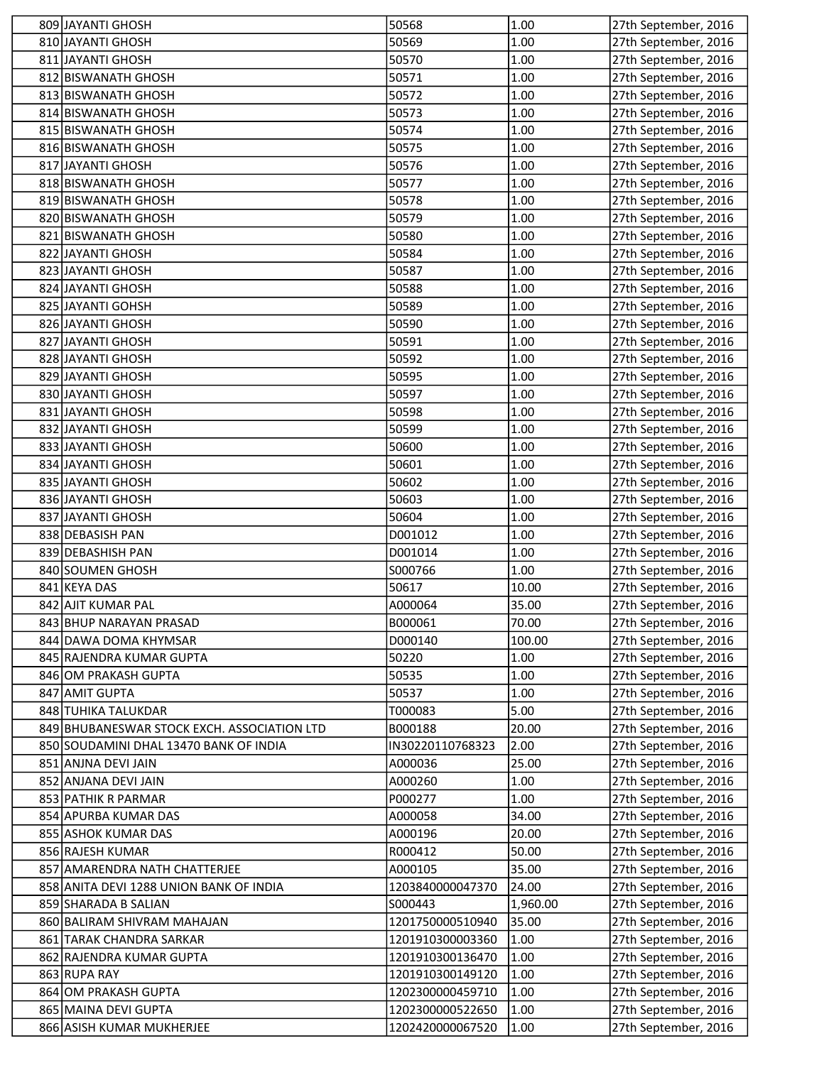| 809 JAYANTI GHOSH                           | 50568            | 1.00     | 27th September, 2016 |
|---------------------------------------------|------------------|----------|----------------------|
| 810 JAYANTI GHOSH                           | 50569            | 1.00     | 27th September, 2016 |
| 811 JAYANTI GHOSH                           | 50570            | 1.00     | 27th September, 2016 |
| 812 BISWANATH GHOSH                         | 50571            | 1.00     | 27th September, 2016 |
| 813 BISWANATH GHOSH                         | 50572            | 1.00     | 27th September, 2016 |
| 814 BISWANATH GHOSH                         | 50573            | 1.00     | 27th September, 2016 |
| 815 BISWANATH GHOSH                         | 50574            | 1.00     | 27th September, 2016 |
| 816 BISWANATH GHOSH                         | 50575            | 1.00     | 27th September, 2016 |
| 817 JAYANTI GHOSH                           | 50576            | 1.00     | 27th September, 2016 |
| 818 BISWANATH GHOSH                         | 50577            | 1.00     | 27th September, 2016 |
| 819 BISWANATH GHOSH                         | 50578            | 1.00     | 27th September, 2016 |
| 820 BISWANATH GHOSH                         | 50579            | 1.00     | 27th September, 2016 |
| 821 BISWANATH GHOSH                         | 50580            | 1.00     | 27th September, 2016 |
| 822 JAYANTI GHOSH                           | 50584            | 1.00     | 27th September, 2016 |
| 823 JAYANTI GHOSH                           | 50587            | 1.00     | 27th September, 2016 |
| 824 JAYANTI GHOSH                           | 50588            | 1.00     | 27th September, 2016 |
| 825 JAYANTI GOHSH                           | 50589            | 1.00     | 27th September, 2016 |
| 826 JAYANTI GHOSH                           | 50590            | 1.00     | 27th September, 2016 |
| 827 JAYANTI GHOSH                           | 50591            | 1.00     | 27th September, 2016 |
| 828 JAYANTI GHOSH                           | 50592            | 1.00     | 27th September, 2016 |
| 829 JAYANTI GHOSH                           | 50595            | 1.00     | 27th September, 2016 |
| 830 JAYANTI GHOSH                           | 50597            | 1.00     | 27th September, 2016 |
| 831 JAYANTI GHOSH                           | 50598            | 1.00     | 27th September, 2016 |
| 832 JAYANTI GHOSH                           | 50599            | 1.00     | 27th September, 2016 |
| 833 JAYANTI GHOSH                           | 50600            | 1.00     | 27th September, 2016 |
| 834 JAYANTI GHOSH                           | 50601            | 1.00     | 27th September, 2016 |
| 835 JAYANTI GHOSH                           | 50602            | 1.00     | 27th September, 2016 |
| 836 JAYANTI GHOSH                           | 50603            | 1.00     | 27th September, 2016 |
| 837 JAYANTI GHOSH                           | 50604            | 1.00     | 27th September, 2016 |
| 838 DEBASISH PAN                            | D001012          | 1.00     | 27th September, 2016 |
| 839 DEBASHISH PAN                           | D001014          | 1.00     | 27th September, 2016 |
| 840 SOUMEN GHOSH                            | S000766          | 1.00     | 27th September, 2016 |
| 841 KEYA DAS                                | 50617            | 10.00    | 27th September, 2016 |
| 842 AJIT KUMAR PAL                          | A000064          | 35.00    | 27th September, 2016 |
| 843 BHUP NARAYAN PRASAD                     | B000061          | 70.00    | 27th September, 2016 |
| 844 DAWA DOMA KHYMSAR                       | D000140          | 100.00   | 27th September, 2016 |
| 845 RAJENDRA KUMAR GUPTA                    | 50220            | 1.00     | 27th September, 2016 |
| 846 OM PRAKASH GUPTA                        | 50535            | 1.00     | 27th September, 2016 |
| 847 AMIT GUPTA                              | 50537            | 1.00     | 27th September, 2016 |
| 848 TUHIKA TALUKDAR                         | T000083          | 5.00     | 27th September, 2016 |
| 849 BHUBANESWAR STOCK EXCH. ASSOCIATION LTD | B000188          | 20.00    | 27th September, 2016 |
| 850 SOUDAMINI DHAL 13470 BANK OF INDIA      | IN30220110768323 | 2.00     | 27th September, 2016 |
| 851 ANJNA DEVI JAIN                         | A000036          | 25.00    | 27th September, 2016 |
| 852 ANJANA DEVI JAIN                        | A000260          | 1.00     | 27th September, 2016 |
| 853 PATHIK R PARMAR                         | P000277          | 1.00     | 27th September, 2016 |
| 854 APURBA KUMAR DAS                        | A000058          | 34.00    | 27th September, 2016 |
| 855 ASHOK KUMAR DAS                         | A000196          | 20.00    | 27th September, 2016 |
| 856 RAJESH KUMAR                            | R000412          | 50.00    | 27th September, 2016 |
| 857 AMARENDRA NATH CHATTERJEE               | A000105          | 35.00    | 27th September, 2016 |
| 858 ANITA DEVI 1288 UNION BANK OF INDIA     | 1203840000047370 | 24.00    | 27th September, 2016 |
| 859 SHARADA B SALIAN                        | S000443          | 1,960.00 | 27th September, 2016 |
| 860 BALIRAM SHIVRAM MAHAJAN                 | 1201750000510940 | 35.00    | 27th September, 2016 |
| 861 TARAK CHANDRA SARKAR                    | 1201910300003360 | 1.00     | 27th September, 2016 |
| 862 RAJENDRA KUMAR GUPTA                    | 1201910300136470 | 1.00     | 27th September, 2016 |
| 863 RUPA RAY                                | 1201910300149120 | 1.00     | 27th September, 2016 |
| 864 OM PRAKASH GUPTA                        | 1202300000459710 | 1.00     | 27th September, 2016 |
| 865 MAINA DEVI GUPTA                        | 1202300000522650 | 1.00     | 27th September, 2016 |
| 866 ASISH KUMAR MUKHERJEE                   | 1202420000067520 | 1.00     | 27th September, 2016 |